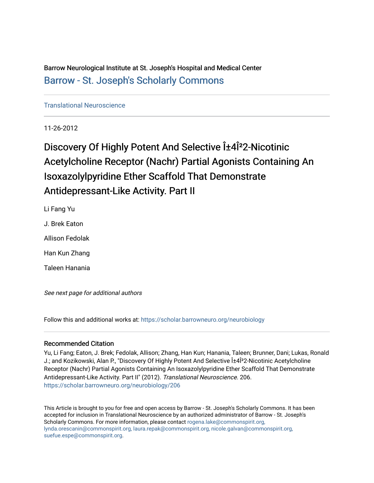Barrow Neurological Institute at St. Joseph's Hospital and Medical Center [Barrow - St. Joseph's Scholarly Commons](https://scholar.barrowneuro.org/) 

[Translational Neuroscience](https://scholar.barrowneuro.org/neurobiology)

11-26-2012

# Discovery Of Highly Potent And Selective α4Î<sup>2</sup>2-Nicotinic Acetylcholine Receptor (Nachr) Partial Agonists Containing An Isoxazolylpyridine Ether Scaffold That Demonstrate Antidepressant-Like Activity. Part II

Li Fang Yu J. Brek Eaton Allison Fedolak

Han Kun Zhang

Taleen Hanania

See next page for additional authors

Follow this and additional works at: [https://scholar.barrowneuro.org/neurobiology](https://scholar.barrowneuro.org/neurobiology?utm_source=scholar.barrowneuro.org%2Fneurobiology%2F206&utm_medium=PDF&utm_campaign=PDFCoverPages)

### Recommended Citation

Yu, Li Fang; Eaton, J. Brek; Fedolak, Allison; Zhang, Han Kun; Hanania, Taleen; Brunner, Dani; Lukas, Ronald J.; and Kozikowski, Alan P., "Discovery Of Highly Potent And Selective α4Î<sup>2</sup>2-Nicotinic Acetylcholine Receptor (Nachr) Partial Agonists Containing An Isoxazolylpyridine Ether Scaffold That Demonstrate Antidepressant-Like Activity. Part II" (2012). Translational Neuroscience. 206. [https://scholar.barrowneuro.org/neurobiology/206](https://scholar.barrowneuro.org/neurobiology/206?utm_source=scholar.barrowneuro.org%2Fneurobiology%2F206&utm_medium=PDF&utm_campaign=PDFCoverPages)

This Article is brought to you for free and open access by Barrow - St. Joseph's Scholarly Commons. It has been accepted for inclusion in Translational Neuroscience by an authorized administrator of Barrow - St. Joseph's Scholarly Commons. For more information, please contact [rogena.lake@commonspirit.org,](mailto:rogena.lake@commonspirit.org,%20lynda.orescanin@commonspirit.org,%20laura.repak@commonspirit.org,%20nicole.galvan@commonspirit.org,%20suefue.espe@commonspirit.org) [lynda.orescanin@commonspirit.org, laura.repak@commonspirit.org, nicole.galvan@commonspirit.org,](mailto:rogena.lake@commonspirit.org,%20lynda.orescanin@commonspirit.org,%20laura.repak@commonspirit.org,%20nicole.galvan@commonspirit.org,%20suefue.espe@commonspirit.org)  [suefue.espe@commonspirit.org](mailto:rogena.lake@commonspirit.org,%20lynda.orescanin@commonspirit.org,%20laura.repak@commonspirit.org,%20nicole.galvan@commonspirit.org,%20suefue.espe@commonspirit.org).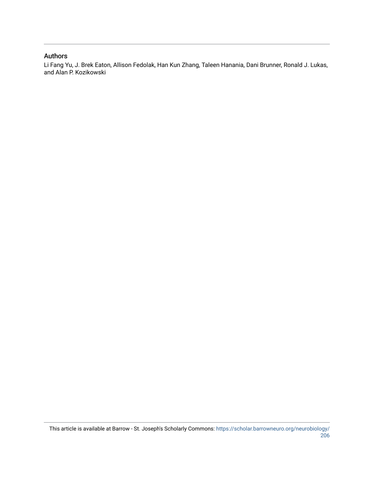## Authors

Li Fang Yu, J. Brek Eaton, Allison Fedolak, Han Kun Zhang, Taleen Hanania, Dani Brunner, Ronald J. Lukas, and Alan P. Kozikowski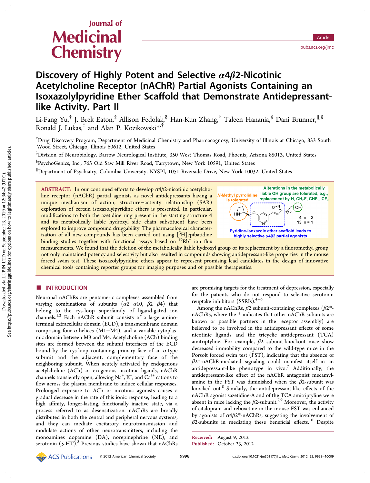# Journal of **Medicinal Chemistry**

# Discovery of Highly Potent and Selective  $\alpha$ 4 $\beta$ 2-Nicotinic Acetylcholine Receptor (nAChR) Partial Agonists Containing an Isoxazolylpyridine Ether Scaffold that Demonstrate Antidepressantlike Activity. Part II

Li-Fang Yu,<sup>†</sup> J. Brek Eaton,<sup>‡</sup> Allison Fedolak,<sup>§</sup> Han-Kun Zhang,<sup>†</sup> Taleen Hanania,<sup>§</sup> Dani Brunner,<sup>||,§</sup> Ronald J. Lukas, $\frac{4}{3}$  and Alan P. Kozikowski $*$ , $\frac{4}{3}$ 

† Drug Discovery Program, Department of Medicinal Chemistry and Pharmacognosy, University of Illinois at Chicago, 833 South Wood Street, Chicago, Illinois 60612, United States

‡ Division of Neurobiology, Barrow Neurological Institute, 350 West Thomas Road, Phoenix, Arizona 85013, United States

§ PsychoGenics, Inc., 765 Old Saw Mill River Road, Tarrytown, New York 10591, United States

∥ Department of Psychiatry, Columbia University, NYSPI, 1051 Riverside Drive, New York 10032, United States

ABSTRACT: In our continued efforts to develop  $\alpha$ 4 $\beta$ 2-nicotinic acetylcholine receptor (nAChR) partial agonists as novel antidepressants having a unique mechanism of action, structure−activity relationship (SAR) exploration of certain isoxazolylpyridine ethers is presented. In particular, modifications to both the azetidine ring present in the starting structure 4 and its metabolically liable hydroxyl side chain substituent have been explored to improve compound druggability. The pharmacological characterization of all new compounds has been carried out using  $[^3\mathrm{H}]$ epibatidine binding studies together with functional assays based on  $86Rb^{+}$  ion flux



measurements. We found that the deletion of the metabolically liable hydroxyl group or its replacement by a fluoromethyl group not only maintained potency and selectivity but also resulted in compounds showing antidepressant-like properties in the mouse forced swim test. These isoxazolylpyridine ethers appear to represent promising lead candidates in the design of innovative chemical tools containing reporter groups for imaging purposes and of possible therapeutics.

#### ■ INTRODUCTION

Neuronal nAChRs are pentameric complexes assembled from varying combinations of subunits  $(\alpha 2-\alpha 10, \beta 2-\beta 4)$  that belong to the cys-loop superfamily of ligand-gated ion channels.<sup>[1,2](#page-12-0)</sup> Each nAChR subunit consists of a large aminoterminal extracellular domain (ECD), a transmembrane domain comprising four  $α$ -helices (M1–M4), and a variable cytoplasmic domain between M3 and M4. Acetylcholine (ACh) binding sites are formed between the subunit interfaces of the ECD bound by the cys-loop containing, primary face of an  $\alpha$ -type subunit and the adjacent, complementary face of the neighboring subunit. When acutely activated by endogenous acetylcholine (ACh) or exogenous nicotinic ligands, nAChR channels transiently open, allowing Na<sup>+</sup>, K<sup>+</sup>, and  $\text{Ca}^{2+}$  cations to flow across the plasma membrane to induce cellular responses. Prolonged exposure to ACh or nicotinic agonists causes a gradual decrease in the rate of this ionic response, leading to a high affinity, longer-lasting, functionally inactive state, via a process referred to as desensitization. nAChRs are broadly distributed in both the central and peripheral nervous systems, and they can mediate excitatory neurotransmission and modulate actions of other neurotransmitters, including the monoamines dopamine (DA), norepinephrine (NE), and serotonin  $(5-HT)$ .<sup>[3](#page-12-0)</sup> Previous studies have shown that nAChRs

are promising targets for the treatment of depression, especially for the patients who do not respond to selective serotonin reuptake inhibitors (SSRIs).[4](#page-12-0)−[6](#page-12-0)

Among the nAChRs,  $\beta$ 2 subunit-containing complexes ( $\beta$ 2\*nAChRs, where the \* indicates that other nAChR subunits are known or possible partners in the receptor assembly) are believed to be involved in the antidepressant effects of some nicotinic ligands and the tricyclic antidepressant (TCA) amitriptyline. For example,  $\beta$ 2 subunit-knockout mice show decreased immobility compared to the wild-type mice in the Porsolt forced swim test (FST), indicating that the absence of  $\beta$ 2\*-nAChR-mediated signaling could manifest itself in an antidepressant-like phenotype in vivo.<sup>[7](#page-12-0)</sup> Additionally, the antidepressant-like effect of the nAChR antagonist mecamylamine in the FST was diminished when the  $\beta$ 2-subunit was knocked out.[8](#page-12-0) Similarly, the antidepressant-like effects of the nAChR agonist sazetidine-A and of the TCA amitriptyline were absent in mice lacking the  $\beta$ 2-subunit.<sup>[7,9](#page-12-0)</sup> Moreover, the activity of citalopram and reboxetine in the mouse FST was enhanced by agonists of  $\alpha$ 4 $\beta$ 2\*-nAChRs, suggesting the involvement of  $\beta$ 2-subunits in mediating these beneficial effects.<sup>[10](#page-12-0)</sup> Despite

See https://pubs.acs.org/sharingguidelines for options on how to legitimately share published articles.

Received: August 9, 2012 Published: October 23, 2012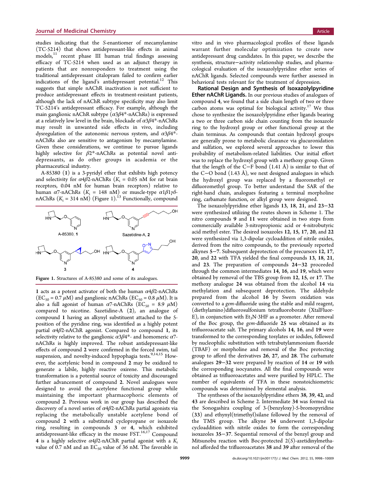studies indicating that the S-enantiomer of mecamylamine (TC-5214) that shows antidepressant-like effects in animal models,<sup>[11](#page-12-0)</sup> recent phase III human trial findings assessing efficacy of TC-5214 when used as an adjunct therapy in patients that are nonresponders to treatment using the traditional antidepressant citalopram failed to confirm earlier indications of the ligand's antidepressant potential.<sup>[12](#page-12-0)</sup> This suggests that simple nAChR inactivation is not sufficient to produce antidepressant effects in treatment-resistant patients, although the lack of nAChR subtype specificity may also limit TC-5214's antidepressant efficacy. For example, although the main ganglionic nAChR subtype  $(\alpha 3\beta 4^*$ -nAChRs) is expressed at a relatively low level in the brain, blockade of  $\alpha$ 3 $\beta$ 4\*-nAChRs may result in unwanted side effects in vivo, including dysregulation of the autonomic nervous system, and  $\alpha 3\beta 4^*$ nAChRs also are sensitive to antagonism by mecamylamine. Given these considerations, we continue to pursue ligands highly selective for  $\beta$ 2\*-nAChRs as potential novel antidepressants, as do other groups in academia or the pharmaceutical industry.

A-85380 (1) is a 3-pyridyl ether that exhibits high potency and selectivity for  $\alpha$ 4 $\beta$ 2-nAChRs ( $K_i$  = 0.05 nM for rat brain receptors, 0.04 nM for human brain receptors) relative to human  $\alpha$ 7-nAChRs ( $K_i = 148$  nM) or muscle-type  $\alpha 1\beta 1\gamma\delta$ nAChRs  $(K_i = 314 \text{ nM})$  (Figure 1).<sup>[13](#page-12-0)</sup> Functionally, compound



Figure 1. Structures of A-85380 and some of its analogues.

1 acts as a potent activator of both the human  $\alpha$ 4 $\beta$ 2-nAChRs  $(EC_{50} = 0.7 \mu M)$  and ganglionic nAChRs  $(EC_{50} = 0.8 \mu M)$ . It is also a full agonist of human  $\alpha$ 7-nAChRs (EC<sub>50</sub> = 8.9  $\mu$ M) compared to nicotine. Sazetidine-A (2), an analogue of compound 1 having an alkynyl substituent attached to the 5 position of the pyridine ring, was identified as a highly potent partial  $\alpha$ 4 $\beta$ 2-nAChR agonist. Compared to compound 1, its selectivity relative to the ganglionic  $\alpha 3\beta 4^*$ - and homomeric  $\alpha 7$ nAChRs is highly improved. The robust antidepressant-like effects of compound 2 were confirmed in the forced swim, tail suspension, and novelty-induced hypophagia tests.<sup>[9](#page-12-0),[14,15](#page-13-0)</sup> However, the acetylenic bond in compound 2 may be oxidized to generate a labile, highly reactive oxirene. This metabolic transformation is a potential source of toxicity and discouraged further advancement of compound 2. Novel analogues were designed to avoid the acetylene functional group while maintaining the important pharmacophoric elements of compound 2. Previous work in our group has described the discovery of a novel series of  $\alpha$ 4 $\beta$ 2-nAChRs partial agonists via replacing the metabolically unstable acetylene bond of compound 2 with a substituted cyclopropane or isoxazole ring, resulting in compounds 3 or 4, which exhibited antidepressant-like efficacy in the mouse  $\operatorname{FST}^{16,17}$  $\operatorname{FST}^{16,17}$  $\operatorname{FST}^{16,17}$  $\operatorname{FST}^{16,17}$  $\operatorname{FST}^{16,17}$  Compound 4 is a highly selective  $\alpha$ 4 $\beta$ 2-nAChR partial agonist with a  $K_i$ value of 0.7 nM and an  $EC_{50}$  value of 36 nM. The favorable in

vitro and in vivo pharmacological profiles of these ligands warrant further molecular optimization to create new antidepressant drug candidates. In this paper, we describe the synthesis, structure−activity relationship studies, and pharmacological evaluation of the isoxazolylpyridine ether series of nAChR ligands. Selected compounds were further assessed in behavioral tests relevant for the treatment of depression.

Rational Design and Synthesis of Isoxazolylpyridine Ether nAChR Ligands. In our previous studies of analogues of compound 4, we found that a side chain length of two or three carbon atoms was optimal for biological activity.<sup>[17](#page-13-0)</sup> We thus chose to synthesize the isoxazolylpyridine ether ligands bearing a two or three carbon side chain counting from the isoxazole ring to the hydroxyl group or other functional group at the chain terminus. As compounds that contain hydroxyl groups are generally prone to metabolic clearance via glucuronidation and sulfation, we explored several approaches to lower this probability of metabolism-related liabilities. Our initial effort was to replace the hydroxyl group with a methoxy group. Given that the length of the C−F bond (1.41 Å) is similar to that of the C−O bond (1.43 Å), we next designed analogues in which the hydroxyl group was replaced by a fluoromethyl or difluoromethyl group. To better understand the SAR of the right-hand chain, analogues featuring a terminal morpholine ring, carbamate function, or alkyl group were designed.

The isoxazolylpyridine ether ligands 13, 18, 21, and 23−32 were synthesized utilizing the routes shown in Scheme [1.](#page-4-0) The nitro compounds 9 and 11 were obtained in two steps from commercially available 3-nitropropionic acid or 4-nitrobutyric acid methyl ester. The desired isoxazoles 12, 15, 17, 20, and 22 were synthesized via 1,3-dipolar cycloaddition of nitrile oxides, derived from the nitro compounds, to the previously reported alkynes 5−7. Subsequent deprotection of the precursors 12, 17, 20, and 22 with TFA yielded the final compounds 13, 18, 21, and 23. The preparation of compounds 24−32 proceeded through the common intermediates 14, 16, and 19, which were obtained by removal of the TBS group from 12, 15, or 17. The methoxy analogue 24 was obtained from the alcohol 14 via methylation and subsequent deprotection. The aldehyde prepared from the alcohol 16 by Swern oxidation was converted to a gem-difluoride using the stable and mild reagent, (diethylamino)difluorosulfonium tetrafluoroborate (XtalFluor-E), in conjunction with  $Et<sub>3</sub>N·3HF$  as a promoter. After removal of the Boc group, the gem-difluoride 25 was obtained as its trifluoroacetate salt. The primary alcohols 14, 16, and 19 were transformed to the corresponding tosylates or iodides, followed by nucleophilic substitution with tetrabutylammonium fluoride (TBAF) or morpholine and removal of the Boc protecting group to afford the derivatives 26, 27, and 28. The carbamate analogues 29−32 were prepared by reaction of 14 or 19 with the corresponding isocyanates. All the final compounds were obtained as trifluoroacetates and were purified by HPLC. The number of equivalents of TFA in these nonstoichiometric compounds was determined by elemental analysis.

The syntheses of the isoxazolylpyridine ethers 38, 39, 42, and 43 are described in Scheme [2.](#page-4-0) Intermediate 34 was formed via the Sonogashira coupling of 3-(benzyloxy)-5-bromopyridine (33) and ethynyl(trimethyl)silane followed by the removal of the TMS group. The alkyne 34 underwent 1,3-dipolar cycloaddition with nitrile oxides to form the corresponding isoxazoles 35−37. Sequential removal of the benzyl group and Mitsunobu reaction with Boc-protected  $2(S)$ -azetidinylmethanol afforded the trifluoroacetates 38 and 39 after removal of the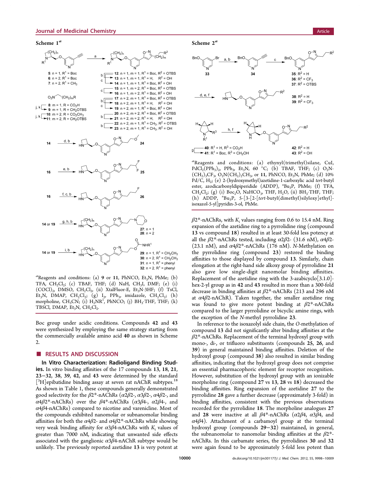<span id="page-4-0"></span>

 $a^a$ Reagents and conditions: (a) 9 or 11, PhNCO, Et<sub>3</sub>N, PhMe; (b) TFA,  $CH_2Cl_2$ ; (c) TBAF, THF; (d) NaH,  $CH_3I$ , DMF; (e) (i)  $(COCl)<sub>2</sub>$ , DMSO,  $CH<sub>2</sub>Cl<sub>2</sub>$ , (ii) XtalFluor-E, Et<sub>3</sub>N·3HF; (f) TsCl, Et<sub>3</sub>N, DMAP, CH<sub>2</sub>Cl<sub>2</sub>; (g) I<sub>2</sub>, PPh<sub>3</sub>, imidazole, CH<sub>2</sub>Cl<sub>2</sub>; (h) morpholine, CH<sub>3</sub>CN; (i)  $H_2NR^1$ , PhNCO; (j) BH<sub>3</sub>·THF, THF; (k) TBSCl, DMAP,  $Et_3N$ ,  $CH_2Cl_2$ .

Boc group under acidic conditions. Compounds 42 and 43 were synthesized by employing the same strategy starting from the commercially available amino acid 40 as shown in Scheme 2.

#### ■ RESULTS AND DISCUSSION

In Vitro Characterization: Radioligand Binding Studies. In vitro binding affinities of the 17 compounds 13, 18, 21, 23−32, 38, 39, 42, and 43 were determined by the standard [<sup>3</sup>H]epibatidine binding assay at seven rat nAChR subtypes.<sup>[18](#page-13-0)</sup> As shown in Table [1,](#page-5-0) these compounds generally demonstrated good selectivity for the  $\beta$ 2<sup>\*</sup>-nAChRs ( $\alpha$ 2 $\beta$ 2-,  $\alpha$ 3 $\beta$ 2-,  $\alpha$ 4 $\beta$ 2-, and  $\alpha$ 4 $\beta$ 2\*-nAChRs) over the  $\beta$ 4\*-nAChRs ( $\alpha$ 3 $\beta$ 4-,  $\alpha$ 2 $\beta$ 4-, and  $\alpha$ 4 $\beta$ 4-nAChRs) compared to nicotine and varenicline. Most of the compounds exhibited nanomolar or subnanomolar binding affinities for both the  $\alpha$ 4 $\beta$ 2- and  $\alpha$ 4 $\beta$ 2\*-nAChRs while showing very weak binding affinity for  $\alpha$ 3 $\beta$ 4-nAChRs with K<sub>i</sub> values of greater than 7000 nM, indicating that unwanted side effects associated with the ganglionic  $\alpha$ 3 $\beta$ 4-nAChR subtype would be unlikely. The previously reported azetidine 13 is very potent at

#### Scheme 2<sup>a</sup>



a Reagents and conditions: (a) ethynyl(trimethyl)silane, CuI,  $PdCl<sub>2</sub>(PPh<sub>3</sub>)<sub>2</sub>$ ,  $PPh<sub>3</sub>$ ,  $Et<sub>3</sub>N$ , 60 °C; (b) TBAF, THF; (c) O<sub>2</sub>N- $(CH_2)_3CF_3$ ,  $O_2N(CH_2)_2CH_3$ , or 11, PhNCO, Et<sub>3</sub>N, PhMe; (d) 10% Pd/C, H<sub>2</sub>; (e) 2-(hydroxymethyl)azetidine-1-carboxylic acid tert-butyl ester, azodicarbonyldipiperidide (ADDP), "Bu<sub>3</sub>P, PhMe; (f) TFA,  $CH_2Cl_2$ ; (g) (i)  $Boc_2O$ , NaHCO<sub>3</sub>, THF, H<sub>2</sub>O, (ii) BH<sub>3</sub>·THF, THF; (h) ADDP,  $^nBu_3P$ , 5-[3-[2-[tert-butyl(dimethyl)silyloxy]ethyl]isoxazol-5-yl]pyridin-3-ol, PhMe.

 $\beta$ 2\*-nAChRs, with K<sub>i</sub> values ranging from 0.6 to 15.4 nM. Ring expansion of the azetidine ring to a pyrrolidine ring (compound 13 vs compound 18) resulted in at least 30-fold less potency at all the  $\beta$ 2<sup>\*</sup>-nAChRs tested, including  $\alpha$ 2 $\beta$ 2- (31.6 nM),  $\alpha$ 4 $\beta$ 2-(23.1 nM), and  $\alpha$ 4 $\beta$ 2<sup>\*</sup>-nAChRs (176 nM). N-Methylation on the pyrrolidine ring (compound 23) restored the binding affinities to those displayed by compound 13. Similarly, chain elongation at the right-hand side alkoxy group of pyrrolidine 21 also gave low single-digit nanomolar binding affinities. Replacement of the azetidine ring with the 3-azabicyclo[3.1.0] hex-2-yl group as in 42 and 43 resulted in more than a 300-fold decrease in binding affinities at β2\*-nAChRs (213 and 296 nM at  $\alpha$ 4 $\beta$ 2-nAChR). Taken together, the smaller azetidine ring was found to give more potent binding at  $\beta$ 2\*-nAChRs compared to the larger pyrrolidine or bicyclic amine rings, with the exception of the N-methyl pyrrolidine 23.

In reference to the isoxazolyl side chain, the O-methylation of compound 13 did not significantly alter binding affinities at the  $\beta$ 2\*-nAChRs. Replacement of the terminal hydroxyl group with mono-, di-, or trifluoro substituents (compounds 25, 26, and 39) in general maintained binding affinities. Deletion of the hydroxyl group (compound 38) also resulted in similar binding affinities, indicating that the hydroxyl group does not comprise an essential pharmacophoric element for receptor recognition. However, substitution of the hydroxyl group with an ionizable morpholine ring (compound 27 vs 13, 28 vs 18) decreased the binding affinities. Ring expansion of the azetidine 27 to the pyrrolidine 28 gave a further decrease (approximately 3-fold) in binding affinities, consistent with the previous observations recorded for the pyrrolidine 18. The morpholine analogues 27 and 28 were inactive at all  $\beta$ 4\*-nAChRs ( $\alpha$ 2 $\beta$ 4,  $\alpha$ 3 $\beta$ 4, and  $\alpha$ 4 $\beta$ 4). Attachment of a carbamoyl group at the terminal hydroxyl group (compounds 29−32) maintained, in general, the subnanomolar to nanomolar binding affinities at the  $\beta 2^*$ nAChRs. In this carbamate series, the pyrrolidines 30 and 32 were again found to be approximately 5-fold less potent than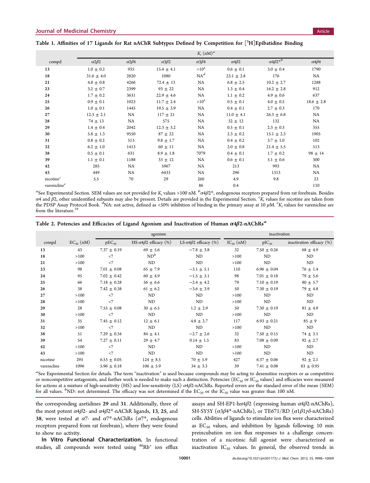## <span id="page-5-0"></span>Table 1. Affinities of 17 Ligands for Rat nAChR Subtypes Defined by Competition for  $[^3\mathrm{H}]$ Epibatidine Binding

|                       |                      |                      |                   | $K_i$ (nM) <sup>a</sup> |                      |                        |                      |
|-----------------------|----------------------|----------------------|-------------------|-------------------------|----------------------|------------------------|----------------------|
| compd                 | $\alpha$ 2 $\beta$ 2 | $\alpha$ 2 $\beta$ 4 | $\alpha 3\beta 2$ | $\alpha$ 3 $\beta$ 4    | $\alpha$ 4 $\beta$ 2 | $\alpha 4\beta 2^{*b}$ | $\alpha$ 4 $\beta$ 4 |
| 13                    | $1.0 \pm 0.2$        | 935                  | $15.4 \pm 4.1$    | $>10^4$                 | $0.6 \pm 0.1$        | $3.0 \pm 0.4$          | 1790                 |
| 18                    | $31.6 \pm 4.0$       | 2820                 | 1080              | $NA^d$                  | $23.1 \pm 2.8$       | 176                    | NA                   |
| 21                    | $4.8 \pm 0.8$        | 4266                 | $72.4 \pm 13$     | NA                      | $6.8 \pm 2.5$        | $10.2 \pm 2.7$         | 1288                 |
| 23                    | $3.2 \pm 0.7$        | 2399                 | $93 \pm 22$       | NA                      | $1.3 \pm 0.4$        | $16.2 \pm 2.8$         | 912                  |
| 24                    | $1.7 \pm 0.2$        | 3631                 | $22.9 \pm 4.6$    | NA                      | $1.1 \pm 0.2$        | $4.9 \pm 0.6$          | 637                  |
| 25                    | $0.9 \pm 0.1$        | 1023                 | $11.7 \pm 2.4$    | $>10^4$                 | $0.5 \pm 0.1$        | $4.0 \pm 0.5$          | $18.6 \pm 2.8$       |
| 26                    | $1.0 \pm 0.1$        | 1445                 | $19.5 \pm 3.9$    | NA                      | $0.4 \pm 0.1$        | $2.7 \pm 0.3$          | 170                  |
| 27                    | $12.3 \pm 2.1$       | NA                   | $117 \pm 21$      | NA                      | $11.0 \pm 4.1$       | $26.3 \pm 6.8$         | NA                   |
| 28                    | $74 \pm 13$          | NA                   | 575               | NA                      | $32 \pm 12$          | 132                    | NA                   |
| 29                    | $1.4 \pm 0.4$        | 2042                 | $12.3 \pm 3.2$    | NA                      | $0.5 \pm 0.1$        | $2.3 \pm 0.3$          | 355                  |
| 30                    | $5.8 \pm 1.3$        | 9550                 | $87 \pm 22$       | NA                      | $2.3 \pm 0.2$        | $15.1 \pm 2.3$         | 1905                 |
| 31                    | $0.8 \pm 0.2$        | 513                  | $9.8 \pm 1.7$     | NA                      | $0.4 \pm 0.2$        | $3.7 \pm 1.0$          | 102                  |
| 32                    | $6.2 \pm 1.0$        | 1413                 | $60 \pm 11$       | NA                      | $2.0 \pm 0.8$        | $21.4 \pm 5.5$         | 513                  |
| 38                    | $0.5 \pm 0.1$        | 631                  | $8.9 \pm 1.8$     | 7079                    | $0.4 \pm 0.1$        | $1.7 \pm 0.2$          | $98 \pm 14$          |
| 39                    | $1.1 \pm 0.1$        | 1188                 | $33 \pm 12$       | NA                      | $0.6 \pm 0.1$        | $5.1 \pm 0.6$          | 300                  |
| 42                    | 285                  | NA                   | 5967              | NA                      | 213                  | 993                    | NA                   |
| 43                    | 449                  | NA                   | 6433              | NA                      | 296                  | 1313                   | NA                   |
| nicotine <sup>c</sup> | 5.5                  | 70                   | 29                | 260                     | 4.9                  | 9.8                    | 23                   |
| varenicline $^e$      |                      |                      |                   | 86                      | 0.4                  |                        | 110                  |

 $^a$ See [Experimental Section.](#page-6-0) SEM values are not provided for  $K_{\rm i}$  values >100 nM.  $^b$ a4 $\beta$ 2\*, endogenous receptors prepared from rat forebrain. Besides  $α4$  and  $β2$ , other unidentified subunits may also be present. Details are provided in the [Experimental Section.](#page-6-0)  $K_i$  values for nicotine are taken from the PDSP Assay Protocol Book. <sup>d</sup>NA: not active, defined as <50% inhibition of binding in the primary assay at 10  $\mu$ M.  ${}^eK_i$  values for varenicline are the protocol Book. <sup>d</sup>NA: not active, defined as <50% inhibition from the literature.<sup>[19](#page-13-0)</sup>

|  |  | Table 2. Potencies and Efficacies of Ligand Agonism and Inactivation of Human $\alpha 4\beta 2$ -nAChRs <sup>a</sup> |  |
|--|--|----------------------------------------------------------------------------------------------------------------------|--|
|  |  |                                                                                                                      |  |

|             |                |                 | agonism                               |                                       | inactivation   |                 |                              |
|-------------|----------------|-----------------|---------------------------------------|---------------------------------------|----------------|-----------------|------------------------------|
| compd       | $EC_{50}$ (nM) | $pEC_{50}$      | HS- $\alpha$ 4 $\beta$ 2 efficacy (%) | LS- $\alpha$ 4 $\beta$ 2 efficacy (%) | $IC_{50}$ (nM) | $pIC_{50}$      | inactivation efficacy $(\%)$ |
| 13          | 43             | $7.37 \pm 0.19$ | $69 \pm 5.6$                          | $-7.8 \pm 3.8$                        | 32             | $7.50 \pm 0.26$ | $68 \pm 4.9$                 |
| 18          | >100           | $<$ 7           | $ND^b$                                | $\mbox{\sc ND}$                       | >100           | $\rm ND$        | ND                           |
| 21          | >100           | $<$ 7           | $\rm ND$                              | $\mbox{\sc ND}$                       | >100           | $\rm ND$        | ND                           |
| 23          | 98             | $7.01 \pm 0.08$ | $65 \pm 7.9$                          | $-3.1 \pm 5.1$                        | 110            | $6.96 \pm 0.04$ | $76 \pm 1.4$                 |
| 24          | 95             | $7.02 \pm 0.42$ | $60 \pm 4.9$                          | $-1.5 \pm 3.1$                        | 98             | $7.01 \pm 0.18$ | $79 \pm 5.6$                 |
| 25          | 66             | $7.18 \pm 0.28$ | $56 \pm 6.6$                          | $-2.4 \pm 4.2$                        | 79             | $7.10 \pm 0.19$ | $80 \pm 5.7$                 |
| 26          | 38             | $7.42 \pm 0.38$ | $61 \pm 6.2$                          | $-3.6 \pm 3.9$                        | 50             | $7.30 \pm 0.19$ | $79 \pm 4.8$                 |
| 27          | >100           | $<$ 7           | ND                                    | ND                                    | >100           | ND              | ND                           |
| 28          | >100           | $<$ 7           | ND                                    | $\mbox{\sc ND}$                       | >100           | $\rm ND$        | ND                           |
| 29          | 28             | $7.55 \pm 0.08$ | $30 \pm 6.5$                          | $1.2 \pm 2.9$                         | 50             | $7.30 \pm 0.19$ | $81 \pm 4.9$                 |
| 30          | >100           | $<$ 7           | ND                                    | $\mbox{\sc ND}$                       | >100           | $\rm ND$        | $\rm ND$                     |
| 31          | 35             | $7.45 \pm 0.12$ | $12 \pm 6.1$                          | $4.8 \pm 2.7$                         | 117            | $6.93 \pm 0.21$ | $85 \pm 9$                   |
| 32          | >100           | $<$ 7           | ND                                    | ND                                    | >100           | $\rm ND$        | ND                           |
| 38          | 51             | $7.29 \pm 0.34$ | $84 \pm 4.1$                          | $-2.7 \pm 2.6$                        | 32             | $7.50 \pm 0.15$ | $74 \pm 3.1$                 |
| 39          | 54             | $7.27 \pm 0.11$ | $29 \pm 4.7$                          | $0.14 \pm 1.5$                        | 83             | $7.08 \pm 0.09$ | $92 \pm 2.7$                 |
| 42          | >100           | $<$ 7           | ND                                    | ND                                    | >100           | ND              | ND                           |
| 43          | >100           | $<$ 7           | ND                                    | ND                                    | >100           | ND              | ND                           |
| nicotine    | 295            | $6.53 \pm 0.05$ | $124 \pm 8.5$                         | $70 \pm 5.9$                          | 427            | $6.37 \pm 0.06$ | $92 \pm 2.1$                 |
| varenicline | 1096           | $5.96 \pm 0.18$ | $106 \pm 5.9$                         | $34 \pm 3.3$                          | 39             | $7.41 \pm 0.08$ | $83 \pm 0.95$                |

a<br>See [Experimental Section](#page-6-0) for details. The term "inactivation" is used because compounds may be acting to desensitize receptors or as competitive or noncompetitive antagonists, and further work is needed to make such a distinction. Potencies ( $EC_{50}$  or  $IC_{50}$  values) and efficacies were measured for actions at a mixture of high-sensitivity (HS) and low-sensitivity (LS)  $\alpha$ 4 $\beta$ 2-nAChRs. Reported errors are the standard error of the mean (SEM) for all values.  $b$ ND: not determined. The efficacy was not determined if the  $EC_{50}$  or the  $IC_{50}$  value was greater than 100 nM.

the corresponding azetidines 29 and 31. Additionally, three of the most potent  $\alpha$ 4 $\beta$ 2- and  $\alpha$ 4 $\beta$ 2\*-nAChR ligands, 13, 25, and 38, were tested at  $\alpha$ 7- and  $\alpha$ 7\*-nAChRs ( $\alpha$ 7\*, endogenous receptors prepared from rat forebrain), where they were found to show no activity.

In Vitro Functional Characterization. In functional studies, all compounds were tested using  $86Rb^+$  ion efflux

assays and SH-EP1-h $\alpha$ 4 $\beta$ 2 (expressing human  $\alpha$ 4 $\beta$ 2-nAChRs), SH-SY5Y ( $\alpha$ 3 $\beta$ 4\*-nAChRs), or TE671/RD ( $\alpha$ 1 $\beta$ 1 $\gamma$ δ-nAChRs) cells. Abilities of ligands to stimulate ion flux were characterized as  $EC_{50}$  values, and inhibition by ligands following 10 min preincubation on ion flux responses to a challenge concentration of a nicotinic full agonist were characterized as inactivation  $IC_{50}$  values. In general, the observed trends in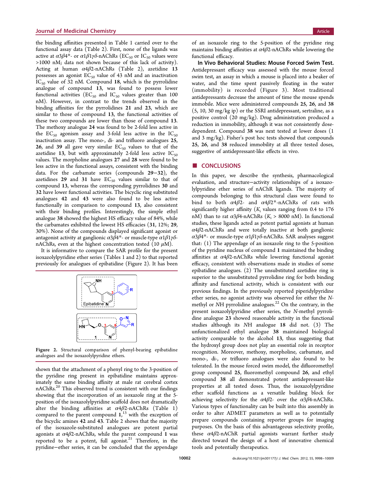<span id="page-6-0"></span>the binding affinities presented in Table [1](#page-5-0) carried over to the functional assay data (Table [2\)](#page-5-0). First, none of the ligands was active at  $\alpha 3\beta 4^*$ - or  $\alpha 1\beta 1\gamma\delta$ -nAChRs (EC<sub>50</sub> or IC<sub>50</sub> values were >1000 nM; data not shown because of this lack of activity). Acting at human  $\alpha$ 4 $\beta$ 2-nAChRs (Table [2](#page-5-0)), azetidine 13 possesses an agonist  $EC_{50}$  value of 43 nM and an inactivation  $IC_{50}$  value of 32 nM. Compound 18, which is the pyrrolidine analogue of compound 13, was found to possess lower functional activities ( $EC_{50}$  and  $IC_{50}$  values greater than 100 nM). However, in contrast to the trends observed in the binding affinities for the pyrrolidines 21 and 23, which are similar to those of compound 13, the functional activities of these two compounds are lower than those of compound 13. The methoxy analogue 24 was found to be 2-fold less active in the  $EC_{50}$  agonism assay and 3-fold less active in the  $IC_{50}$ inactivation assay. The mono-, di- and trifluoro analogues 25, 26, and 39 all gave very similar  $EC_{50}$  values to that of the azetidine 13, but with approximately 2-fold less active  $IC_{50}$ values. The morpholine analogues 27 and 28 were found to be less active in the functional assays, consistent with the binding data. For the carbamate series (compounds 29−32), the azetidines  $29$  and  $31$  have  $EC_{50}$  values similar to that of compound 13, whereas the corresponding pyrrolidines 30 and 32 have lower functional activities. The bicyclic ring substituted analogues 42 and 43 were also found to be less active functionally in comparison to compound 13, also consistent with their binding profiles. Interestingly, the simple ethyl analogue 38 showed the highest HS efficacy value of 84%, while the carbamates exhibited the lowest HS efficacies (31, 12%; 29, 30%). None of the compounds displayed significant agonist or antagonist activity at ganglionic  $\alpha 3\beta 4^*$ - or muscle-type  $\alpha 1\beta 1\gamma\delta$ nAChRs, even at the highest concentration tested (10  $\mu$ M).

It is informative to compare the SAR profile for the present isoxazolylpyridine ether series (Tables [1](#page-5-0) and [2](#page-5-0)) to that reported previously for analogues of epibatidine (Figure 2). It has been



Figure 2. Structural comparison of phenyl-bearing epibatidine analogues and the isoxazolylpyridine ethers.

shown that the attachment of a phenyl ring to the 3-position of the pyridine ring present in epibatidine maintains approximately the same binding affinity at male rat cerebral cortex nAChRs.[20](#page-13-0) This observed trend is consistent with our findings showing that the incorporation of an isoxazole ring at the 5 position of the isoxazolylpyridine scaffold does not dramatically alter the binding affinities at  $\alpha$ 4 $\beta$ 2-nAChRs (Table [1\)](#page-5-0) compared to the parent compound  $1,^{13}$  $1,^{13}$  $1,^{13}$  with the exception of the bicyclic amines 42 and 43. Table [2](#page-5-0) shows that the majority of the isoxazole-substituted analogues are potent partial agonists at  $\alpha$ 4 $\beta$ 2-nAChRs, while the parent compound 1 was reported to be a potent, full agonist.<sup>[21](#page-13-0)</sup> Therefore, in the pyridine−ether series, it can be concluded that the appendage

of an isoxazole ring to the 5-position of the pyridine ring maintains binding affinities at  $\alpha$ 4 $\beta$ 2-nAChRs while lowering the functional efficacy.

In Vivo Behavioral Studies: Mouse Forced Swim Test. Antidepressant efficacy was assessed with the mouse forced swim test, an assay in which a mouse is placed into a beaker of water, and the time spent passively floating in the water (immobility) is recorded (Figure [3\)](#page-7-0). Most traditional antidepressants decrease the amount of time the mouse spends immobile. Mice were administered compounds 25, 26, and 38 (5, 10, 30 mg/kg ip) or the SSRI antidepressant, sertraline, as a positive control (20 mg/kg). Drug administration produced a reduction in immobility, although it was not consistently dosedependent. Compound 38 was next tested at lower doses (1 and 3 mg/kg). Fisher's post hoc tests showed that compounds 25, 26, and 38 reduced immobility at all three tested doses, suggestive of antidepressant-like effects in vivo.

#### ■ **CONCLUSIONS**

In this paper, we describe the synthesis, pharmacological evaluation, and structure−activity relationships of a isoxazolylpyridine ether series of nAChR ligands. The majority of compounds belonging to this structural class were found to bind to both  $\alpha$ 4 $\beta$ 2- and  $\alpha$ 4 $\beta$ 2\*-nAChRs of rats with significantly higher affinity  $(K<sub>i</sub>$  values ranging from 0.4 to 176 nM) than to rat  $\alpha 3\beta 4$ -nAChRs ( $K_i > 8000$  nM). In functional studies, these ligands acted as potent partial agonists at human  $\alpha$ 4 $\beta$ 2-nAChRs and were totally inactive at both ganglionic α3β4\*- or muscle-type α1β1γδ-nAChRs. SAR analyses suggest that: (1) The appendage of an isoxazole ring to the 5-position of the pyridine nucleus of compound 1 maintained the binding affinities at  $\alpha$ 4 $\beta$ 2-nAChRs while lowering functional agonist efficacy, consistent with observations made in studies of some epibatidine analogues. (2) The unsubstituted azetidine ring is superior to the unsubstituted pyrrolidine ring for both binding affinity and functional activity, which is consistent with our previous findings. In the previously reported piperidylpyridine ether series, no agonist activity was observed for either the Nmethyl or  $NH$  pyrrolidine analogues.<sup>[22](#page-13-0)</sup> On the contrary, in the present isoxazolylpyridine ether series, the N-methyl pyrrolidine analogue 23 showed reasonable activity in the functional studies although its NH analogue 18 did not. (3) The unfunctionalized ethyl analogue 38 maintained biological activity comparable to the alcohol 13, thus suggesting that the hydroxyl group does not play an essential role in receptor recognition. Moreover, methoxy, morpholine, carbamate, and mono-, di-, or trifluoro analogues were also found to be tolerated. In the mouse forced swim model, the difluoromethyl group compound 25, fluoromethyl compound 26, and ethyl compound 38 all demonstrated potent antidepressant-like properties at all tested doses. Thus, the isoxazolylpyridine ether scaffold functions as a versatile building block for achieving selectivity for the  $\alpha$ 4 $\beta$ 2- over the  $\alpha$ 3 $\beta$ 4-nAChRs. Various types of functionality can be built into this assembly in order to alter ADMET parameters as well as to potentially prepare compounds containing reporter groups for imaging purposes. On the basis of this advantageous selectivity profile, these  $\alpha$ 4 $\beta$ 2-nAChR partial agonists warrant further study directed toward the design of a host of innovative chemical tools and potentially therapeutics.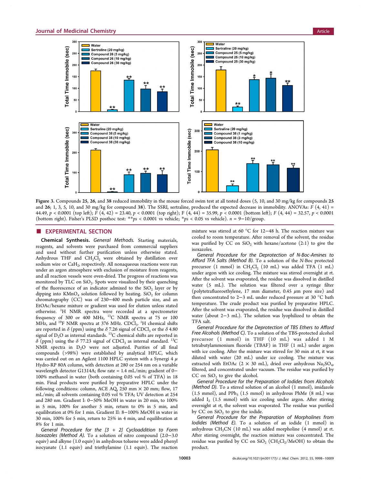<span id="page-7-0"></span>

Figure 3. Compounds 25, 26, and 38 reduced immobility in the mouse forced swim test at all tested doses (5, 10, and 30 mg/kg for compounds 25 and 26; 1, 3, 5, 10, and 30 mg/kg for compound 38). The SSRI, sertraline, produced the expected decrease in immobility. ANOVAs:  $F(4, 41) =$ 44.49, p < 0.0001 (top left);  $\overline{F}(4, 42) = 23.40$ , p < 0.0001 (top right); F (4, 44) = 35.99, p < 0.0001 (bottom left); F (4, 44) = 32.57, p < 0.0001 (bottom right). Fisher's PLSD posthoc test: \*\*ps < 0.0001 vs vehicle; \*ps < 0.05 vs vehicle). n = 9−10/group.

#### **EXPERIMENTAL SECTION**

Chemical Synthesis. General Methods. Starting materials, reagents, and solvents were purchased from commercial suppliers and used without further purification unless otherwise stated. Anhydrous THF and  $CH_2Cl_2$  were obtained by distillation over sodium wire or  $CaH<sub>2</sub>$ , respectively. All nonaqueous reactions were run under an argon atmosphere with exclusion of moisture from reagents, and all reaction vessels were oven-dried. The progress of reactions was monitored by TLC on  $SiO<sub>2</sub>$ . Spots were visualized by their quenching of the fluorescence of an indicator admixed to the  $SiO<sub>2</sub>$  layer or by dipping into  $KMnO_4$  solution followed by heating.  $SiO_2$  for column chromatography (CC) was of 230−400 mesh particle size, and an EtOAc/hexane mixture or gradient was used for elution unless stated otherwise. <sup>1</sup>H NMR spectra were recorded at a spectrometer frequency of 300 or 400 MHz, <sup>13</sup>C NMR spectra at 75 or 100 MHz, and <sup>19</sup>F NMR spectra at 376 MHz.  $CDCl<sub>3</sub>$ . <sup>1</sup>H chemical shifts are reported in  $\delta$  (ppm) using the  $\delta$  7.26 signal of CDCl<sub>3</sub> or the  $\delta$  4.80 signal of  $D_2O$  as internal standards. <sup>13</sup>C chemical shifts are reported in  $\delta$  (ppm) using the  $\delta$  77.23 signal of CDCl<sub>3</sub> as internal standard. <sup>13</sup>C NMR spectra in  $D_2O$  were not adjusted. Purities of all final compounds (>98%) were established by analytical HPLC, which was carried out on an Agilent 1100 HPLC system with a Synergi 4  $\mu$ Hydro-RP 80A column, with detection at 280 or 254 nm on a variable wavelength detector G1314A; flow rate = 1.4 mL/min; gradient of 0− 100% methanol in water (both containing 0.05 vol % of TFA) in 18 min. Final products were purified by preparative HPLC under the following conditions: column, ACE AQ, 250 mm × 20 mm; flow, 17 mL/min; all solvents containing 0.05 vol % TFA; UV detection at 254 and 280 nm. Gradient I: 0−50% MeOH in water in 20 min, to 100% in 5 min, 100% for another 5 min, return to 0% in 5 min, and equilibration at 0% for 1 min. Gradient II: 8−100% MeOH in water in 30 min, 100% for 5 min, return to 25% in 4 min, and equilibration at 8% for 1 min.

General Procedure for the  $[3 + 2]$  Cycloaddition to Form Isoxazoles (Method A). To a solution of nitro compound (2.0−3.0 equiv) and alkyne (1.0 equiv) in anhydrous toluene were added phenyl isocyanate (1.1 equiv) and triethylamine (1.1 equiv). The reaction

mixture was stirred at 60 °C for 12−48 h. The reaction mixture was cooled to room temperature. After removal of the solvent, the residue was purified by CC on  $SiO<sub>2</sub>$  with hexane/acetone (2:1) to give the isoxazoles.

General Procedure for the Deprotection of N-Boc-Amines to Afford TFA Salts (Method B). To a solution of the N-Boc protected precursor (1 mmol) in  $CH_2Cl_2$  (10 mL) was added TFA (1 mL) under argon with ice cooling. The mixture was stirred overnight at rt. After the solvent was evaporated, the residue was dissolved in distilled water (5 mL). The solution was filtered over a syringe filter (polytetrafluoroethylene, 17 mm diameter, 0.45 μm pore size) and then concentrated to 2−3 mL under reduced pressure at 30 °C bath temperature. The crude product was purified by preparative HPLC. After the solvent was evaporated, the residue was dissolved in distilled water (about 2−3 mL). The solution was lyophilized to obtain the TFA salt.

General Procedure for the Deprotection of TBS Ethers to Afford Free Alcohols (Method C). To a solution of the TBS-protected alcohol precursor (1 mmol) in THF (10 mL) was added 1 M tetrabutylammonium fluoride (TBAF) in THF (1 mL) under argon with ice cooling. After the mixture was stirred for 30 min at rt, it was diluted with water (20 mL) under ice cooling. The mixture was extracted with EtOAc (2  $\times$  30 mL), dried over anhydrous Na<sub>2</sub>SO<sub>4</sub>, filtered, and concentrated under vacuum. The residue was purified by CC on  $SiO<sub>2</sub>$  to give the alcohol.

General Procedure for the Preparation of Iodides from Alcohols (Method D). To a stirred solution of an alcohol (1 mmol), imidazole (1.5 mmol), and  $PPh_3$  (1.5 mmol) in anhydrous PhMe (8 mL) was added  $I_2$  (1.5 mmol) with ice cooling under argon. After stirring overnight at rt, the solvent was evaporated. The residue was purified by CC on  $SiO<sub>2</sub>$  to give the iodide.

General Procedure for the Preparation of Morpholines from Iodides (Method E). To a solution of an iodide (1 mmol) in anhydrous  $CH<sub>3</sub>CN$  (10 mL) was added morpholine (4 mmol) at rt. After stirring overnight, the reaction mixture was concentrated. The residue was purified by CC on  $SiO<sub>2</sub>$  (CH<sub>2</sub>Cl<sub>2</sub>/MeOH) to obtain the product.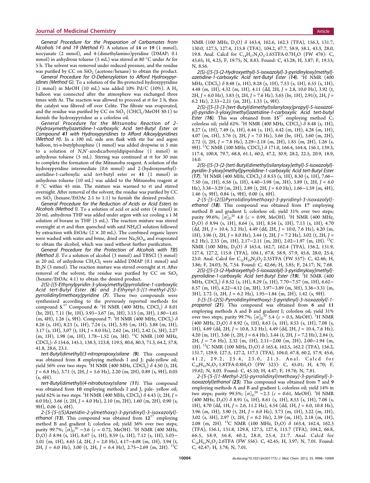General Procedure for the Preparation of Carbamates from Alcohols 14 and 19 (Method F). A solution of 14 or 19 (1 mmol), isocyanate (2 mmol), and 4-(dimethylamino)pyridine (DMAP; 0.1 mmol) in anhydrous toluene (5 mL) was stirred at 80 °C under Ar for 5 h. The solvent was removed under reduced pressure, and the residue was purified by CC on  $SiO<sub>2</sub>$  (acetone/hexane) to obtain the product.

General Procedure for O-Debenzylation to Afford Hydroxypyridines (Method G). To a solution of the Bn-protected hydroxypyridine (1 mmol) in MeOH (10 mL) was added 10% Pd/C (10%). A  $H_2$ balloon was connected after the atmosphere was exchanged three times with Ar. The reaction was allowed to proceed at rt for 2 h, then the catalyst was filtered off over Celite. The filtrate was evaporated, and the residue was purified by CC on  $SiO<sub>2</sub>$  (CHCl<sub>3</sub>/MeOH 30:1) to furnish the hydroxypyridine as a colorless oil.

General Procedure for the Mitsunobu Reaction of 2- (Hydroxymethyl)azetidine-1-carboxylic Acid tert-Butyl Ester or Compound 41 with Hydroxypyridines to Afford Alkoxylpyridines (Method H). In a 100 mL side arm flask with stir bar and argon balloon, tri-n-butylphosphine (1 mmol) was added dropwise in 5 min to a solution of N,N′-azodicarbonyldipiperidine (1 mmol) in anhydrous toluene (5 mL). Stirring was continued at rt for 30 min to complete the formation of the Mitsunobu reagent. A solution of the hydroxypyridine intermediate (0.6 mmol) and 2-(hydroxymethyl) azetidine-1-carboxylic acid tert-butyl ester or 41 (1 mmol) in anhydrous toluene (10 mL) was added to the Mitsunobu reagent at 0 °C within 45 min. The mixture was warmed to rt and stirred overnight. After removal of the solvent, the residue was purified by CC on  $SiO<sub>2</sub>$  (hexane/EtOAc 2:1 to 1:1) to furnish the desired product.

General Procedure for the Reduction of Acids or Acid Esters to Alcohols (Method I). To a solution of acid or acid ester (4 mmol) in 20 mL anhydrous THF was added under argon with ice cooling a 1 M solution of borane in THF (5 mL). The reaction mixture was stirred overnight at rt and then quenched with satd NH4Cl solution followed by extraction with EtOAc  $(2 \times 20 \text{ mL})$ . The combined organic layers were washed with water and brine, dried over  $Na<sub>2</sub>SO<sub>4</sub>$ , and evaporated to obtain the alcohol, which was used without further purification.

General Procedure for the Protection of Alcohols with TBS (Method J). To a solution of alcohol (3 mmol) and TBSCl (3 mmol) in 20 mL of anhydrous  $CH_2Cl_2$  were added DMAP (0.1 mmol) and  $Et<sub>3</sub>N$  (3 mmol). The reaction mixture was stirred overnight at rt. After removal of the solvent, the residue was purified by CC on  $SiO<sub>2</sub>$ (hexane/EtOAc 4:1) to obtain the desired product.

2(S)-[(5-Ethynylpyridin-3-yloxy)methyl]pyrrolidine-1-carboxylic Acid tert-Butyl Ester (6) and 3-Ethynyl-5-[(1-methyl-2(S) pyrrolidinyl)methoxy]pyridine (7). These two compounds were synthesized according to the previously reported methods for compound  $5^{17}$  $5^{17}$  $5^{17}$  Compound  $6:$  <sup>1</sup>H NMR (400 MHz, CDCl<sub>3</sub>)  $\delta$  8.01 (br, 2H), 7.11 (br, 1H), 3.93−3.67 (m, 3H), 3.13 (m, 3H), 1.80−1.65 (m, 4H), 1.26 (s, 9H). Compound 7: <sup>1</sup>H NMR (400 MHz, CDCl<sub>3</sub>)  $\delta$ 8.26 (s, 1H), 8.23 (s, 1H), 7.24 (s, 1H), 3.95 (m, 1H), 3.88 (m, 1H), 3.17 (s, 1H), 3.07 (t, 1H,  $J = 8.0$  Hz), 2.62 (m, 1H), 2.42 (s, 3H), 2.27 (m, 1H), 1.98 (m, 1H), 1.78−1.52 (m, 3H). 13C NMR (100 MHz, CDCl3): δ 154.6, 145.1, 138.3, 123.8, 119.5, 80.6, 80.3, 71.3, 64.2, 57.8, 41.8, 28.6, 23.1.

tert-Butyl(dimethyl)(3-nitropropoxy)silane (9). This compound was obtained from 8 employing methods I and J; pale-yellow oil; yield 56% over two steps. <sup>1</sup>H NMR (400 MHz, CDCl<sub>3</sub>)  $\delta$  4.50 (t, 2H,  $J = 6.8$  Hz), 3.71 (t, 2H,  $J = 5.6$  Hz), 2.20 (m, 2H), 0.89 (s, 9H), 0.05  $(s, 6H)$ .

tert-Butyl(dimethyl)(4-nitrobutoxy)silane (11). This compound was obtained from 10 employing methods I and J; pale- yellow oil; yield 62% in two steps. <sup>1</sup>H NMR (400 MHz, CDCl<sub>3</sub>)  $\delta$  4.43 (t, 2H, J = 6.0 Hz), 3.66 (t, 2H,  $J = 4.0$  Hz), 2.10 (m, 2H), 1.60 (m, 2H), 0.90 (s, 9H), 0.06 (s, 6H).

 $2-[5-[5-(S)Azetidin-2-ylmethoxy)-3-pyridinyl]-3-isoxazolyl]-ethanol$  (13). This compound was obtained from  $12^{17}$  $12^{17}$  $12^{17}$  employing method B and gradient I; colorless oil; yield 36% over two steps; purity 99.7%;  $\left[\alpha\right]_{D}^{20}$  –3.6 ( $c = 0.72$ , MeOH). <sup>1</sup>H NMR (400 MHz, D<sub>2</sub>O)  $\delta$  8.94 (s, 1H), 8.67 (s, 1H), 8.59 (s, 1H), 7.12 (s, 1H), 5.03– 5.01 (m, 1H), 4.65 (d, 2H, J = 2.0 Hz), 4.17−4.08 (m, 1H), 3.94 (t, 2H, J = 6.0 Hz), 3.00 (t, 2H, J = 6.4 Hz), 2.75–2.69 (m, 2H). <sup>13</sup>C NMR (100 MHz,  $D_2O$ )  $\delta$  163.4, 162.6, 162.3 (TFA), 156.3, 131.7, 130.0, 127.5, 127.4, 115.8 (TFA), 104.2, 67.7, 58.9, 58.1, 43.3, 28.0, 19.8. Anal. Calcd for  $C_{14}H_{17}N_3O_3.1.65TFA \cdot 0.7H_2O$  (FW 476): C, 43.65; H, 4.25; F, 19.75; N, 8.83. Found: C, 43.28; H, 3.87; F, 19.53; N, 8.56.

2(S)-[[5-[3-(2-Hydroxyethyl)-5-isoxazolyl]-3-pyridinyloxy]methyl] azetidine-1-carboxylic Acid tert-Butyl Ester (14). <sup>1</sup>H NMR (400 MHz, CDCl<sub>3</sub>)  $\delta$  8.48 (s, 1H), 8.28 (s, 1H), 7.53 (s, 1H), 6.55 (s, 1H), 4.48 (m, 1H), 4.32 (m, 1H), 4.11 (dd, 2H,  $J = 2.8$ , 10.0 Hz), 3.92 (t, 2H,  $J = 6.0$  Hz), 3.83 (t, 2H,  $J = 7.6$  Hz), 3.65 (br, 1H), 2.91(t, 2H,  $J =$ 6.2 Hz), 2.33−2.21 (m, 2H), 1.33 (s, 9H).

2(S)-[[5-[3-[3-[tert-Butyl(dimethyl)silanyloxy]propyl]-5-isoxazolyl]-pyridin-3-yloxy]methyl]azetidine-1-carboxylic Acid tert-butyl Ester (16). This was obtained from  $15^{17}$  $15^{17}$  $15^{17}$  employing method C; colorless oil; yield 62%. <sup>1</sup>H NMR (400 MHz, CDCl<sub>3</sub>)  $\delta$  8.48 (s, 1H), 8.27 (s, 1H), 7.49 (s, 1H), 6.44 (s, 1H), 4.42 (m, 1H), 4.28 (m, 1H), 4.07 (m, 1H), 3.76 (t, 2H,  $J = 7.0$  Hz), 3.66 (br, 1H), 3.60 (m, 2H), 2.72 (t, 2H, J = 7.8 Hz), 2.29−2.18 (m, 2H), 1.85 (m, 2H), 1.26 (s, 9H). <sup>13</sup>C NMR (100 MHz, CDCl<sub>3</sub>) δ 171.0, 166.4, 164.4, 156.1, 139.3, 117.4, 100.8, 79.7, 68.8, 61.1, 60.2, 47.2, 30.9, 28.2, 22.5, 20.9, 18.9, 14.0.

2(S)-[[5-[3-[2-[tert-Butyl(dimethyl)silanyloxy]ethyl]-5-isoxazolyl] pyridin-3-yloxy]methyl]pyrrolidine-1-carboxylic Acid tert-Butyl Ester (17). <sup>1</sup>H NMR (400 MHz, CDCl<sub>3</sub>)  $\delta$  8.53 (s, 1H), 8.30 (s, 1H), 7.66– 7.50 (m, 1H), 6.56 (s, 1H), 4.40−3.98 (m, 3H), 3.89 (t, 2H, J = 6.0 Hz), 3.38−3.29 (m, 2H), 2.89 (t, 2H, J = 6.0 Hz), 1.66−1.59 (m, 4H), 1.46 (s, 9H), 0.84 (s, 9H), 0.00 (s, 6H).

2-[5-[5-(2(S)Pyrrolidinylmethoxy)-3-pyridinyl-3-isoxazolyl] ethanol (18). This compound was obtained from 17 employing method B and gradient I; colorless oil; yield 31% over two steps; purity 99.6%;  $[\alpha]_{\text{D}}^{20}$  4.8 ( $c = 0.99$ , MeOH). <sup>1</sup>H NMR (400 MHz,  $D_2$ O)  $\delta$  8.94 (s, 1H), 8.64 (s, 1H), 8.54 (s, 1H), 7.13 (s, 1H), 4.70 (dd, 2H, J = 10.4, 3.2 Hz), 4.49 (dd, 2H, J = 10.0, 7.6 Hz), 4.20 (m, 1H), 3.96 (t, 2H, J = 8.0 Hz), 3.44 (t, 2H, J = 7.2 Hz), 3.02 (t, 2H, J = 6.2 Hz), 2.33 (m, 1H), 2.17−2.11 (m, 2H), 2.02−1.97 (m, 1H). 13C NMR (100 MHz,  $D_2O$ )  $\delta$  163.4, 162.7, 162.4 (TFA), 156.2, 131.9, 127.4, 127.2, 115.8 (TFA), 104.1, 67.8, 58.9, 57.9, 45.6, 28.0, 25.4, 23.0. Anal. Calcd for  $C_{15}H_{19}N_3O_3$ -2.35TFA (FW 557): C, 42.46; H, 3.86; F, 24.03; N, 7.54. Found: C, 42.66; H, 3.85; F, 24.17; N, 7.68.

2(S)-[[5-[3-(2-Hydroxyethyl)-5-isoxazolyl]-3-pyridinyloxy]methyl] pyrrolidine-1-carboxylic Acid tert-Butyl Ester (1**9**). <sup>1</sup>H NMR (400 MHz, CDCl<sub>3</sub>) δ 8.52 (s, 1H), 8.29 (s, 1H), 7.70−7.57 (m, 1H), 6.62− 6.57 (m, 1H), 4.22−4.12 (m, 3H), 3.97−3.89 (m, 3H), 3.36−3.31 (m, 3H), 2.72 (t, 2H, J = 6.2 Hz), 1.95−1.84 (m, 2H), 1.42 (s, 9H).

3-[5-[5-(2(S)-Pyrrolidinylmethoxy)-3-pyridinyl]-3-isoxazolyl]-1 propanol (21). This compound was obtained from 6 and 11 employing methods A and B and gradient I; colorless oil; yield 31% over two steps; purity 99.7%;  $[\alpha]_D^{20}$  5.4 ( $c = 0.5$ , MeOH). <sup>1</sup>H NMR  $(400 \text{ MHz}, \text{D}_2\text{O}) \delta 8.92 \text{ (s, 1H)}, 8.63 \text{ (s, 1H)}, 8.53 \text{ (s, 1H)}, 7.08 \text{ (s,$ 1H), 4.69 (dd, 2H, J = 10.8, 3.2 Hz), 4.49 (dd, 2H, J = 10.4, 7.6 Hz), 4.20 (m, 1H), 3.66 (t, 2H,  $J = 6.4$  Hz), 3.44 (t, 2H,  $J = 7.2$  Hz), 2.84 (t, 2H, J = 7.6 Hz), 2.32 (m, 1H), 2.11−2.00 (m, 2H), 2.00−1.94 (m, 1H). <sup>13</sup>C NMR (100 MHz, D<sub>2</sub>O) δ 165.4, 162.5, 162.2 (TFA), 156.2, 131.7, 129.9, 127.5, 127.2, 117.3 (TFA), 104.0, 67.8, 60.2, 57.9, 45.6, 41.2, 29.2, 25.4, 23.0, 21.5. Anal. Calcd for  $C_{16}H_{21}N_3O_3 \cdot 1.8TFA \cdot 0.8H_2O$  (FW 523): C, 45.01; H, 4.70; F, 19.62; N, 8.03. Found: C, 45.10; H, 4.47; F, 19.76; N, 7.81.

2-[5-[5-[(1-Methyl-2(S)-pyrrolidinyl)methoxy]-3-pyridinyl]-3 isoxazolyl]ethanol (23). This compound was obtained from 7 and 9 employing methods A and B and gradient I; colorless oil; yield 14% in two steps; purity 99.5%;  $[\alpha]_D^{20} -2.3$  ( $c = 0.61$ , MeOH). <sup>1</sup>H NMR  $(400 \text{ MHz}, D_2O)$   $\delta$  8.91 (s, 1H), 8.61 (s, 1H), 8.53 (s, 1H), 7.08 (s, 1H), 4.70 (dd, 1H,  $J = 2.6$ , 11.2 Hz), 4.54 (dd, 1H,  $J = 6.0$ , 10.8 Hz), 3.96 (m, 1H), 3.90 (t, 2H,  $J = 6.0$  Hz), 3.73 (m, 1H), 3.22 (m, 1H), 3.02 (s, 3H), 2.97 (t, 2H,  $J = 6.2$  Hz), 2.39 (m, 1H), 2.18 (m, 1H), 2.08 (m, 2H). 13C NMR (100 MHz, D2O) δ 163.4, 162.4, 162.3 (TFA), 156.1, 131.8, 129.8, 127.5, 127.4, 115.7 (TFA), 104.2, 66.8, 66.5, 58.9, 56.8, 40.2, 28.0, 25.4, 21.7. Anal. Calcd for  $\rm C_{16}H_{21}N_3O_3{\cdot}2.6TFA$  (FW 556): C, 42.45; H, 3.97; N, 7.01. Found: C, 42.47; H, 3.78; N, 7.01.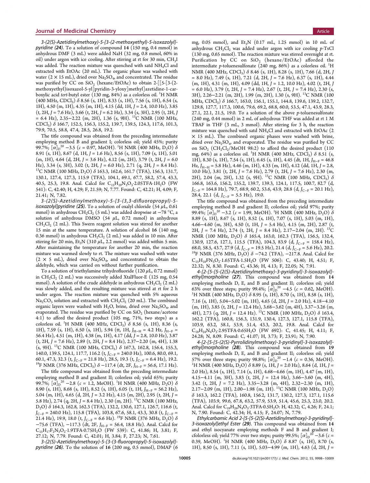3-(2(S)-Azetidinylmethoxy)-5-[3-(2-methoxyethyl)-5-isoxazolyl] pyridine (24). To a solution of compound 14 (150 mg, 0.4 mmol) in anhydrous DMF (3 mL) were added NaH (32 mg, 0.8 mmol, 60% in oil) under argon with ice cooling. After stirring at rt for 30 min, CH<sub>3</sub>I was added. The reaction mixture was quenched with satd NH4Cl and extracted with EtOAc (20 mL). The organic phase was washed with water ( $2 \times 15$  mL), dried over Na<sub>2</sub>SO<sub>4</sub>, and concentrated. The residue was purified by CC on  $SiO<sub>2</sub>$  (hexane/EtOAc) to obtain 2-[[5-[3-(2methoxyethyl)isoxazol-5-yl]pyridin-3-yloxy]methyl]azetidine-1-carboxylic acid *tert*-butyl ester (130 mg, 84%) as a colorless oil. <sup>1</sup>H NMR  $(400 \text{ MHz}, \text{CDCl}_3)$   $\delta$  8.56 (s, 1H), 8.33 (s, 1H), 7.56 (s, 1H), 6.54 (s, 1H), 4.50 (m, 1H), 4.35 (m, 1H), 4.15 (dd, 1H, J = 2.4, 10.0 Hz), 3.85  $(t, 2H, J = 7.6 Hz)$ , 3.66  $(t, 2H, J = 6.2 Hz)$ , 3.34  $(s, 3H)$ , 2.95  $(t, 2H, J)$  $= 6.4$  Hz), 2.35−2.22 (m, 2H), 1.36 (s, 9H). <sup>13</sup>C NMR (100 MHz, CDCl3) δ 166.7, 152.5, 156.3, 155.2, 139.7, 139.5, 124.3, 117.6, 101.3, 79.9, 70.5, 58.8, 47.4, 28.5, 26.8, 19.2.

The title compound was obtained from the preceding intermediate employing method B and gradient I; colorless oil; yield 45%; purity 99.7%;  $[\alpha]_{\text{D}}^{20}$  –3.5 (c = 0.97, MeOH). <sup>1</sup>H NMR (400 MHz, D<sub>2</sub>O)  $\delta$ 8.91 (s, 1H), 8.67 (d, 1H, J = 1.6 Hz), 8.56 (s, 1H), 7.09 (s, 1H), 5.01 (m, 1H), 4.64 (d, 2H, J = 3.6 Hz), 4.12 (m, 2H), 3.79 (t, 2H, J = 6.0 Hz), 3.34 (s, 3H), 3.02 (t, 2H, J = 6.0 Hz), 2.71 (q, 2H, J = 8.4 Hz).  $^{13}$ C NMR (100 MHz, D<sub>2</sub>O)  $\delta$  163.3, 162.6, 161.7 (TFA), 156.3, 131.7, 130.1, 127.4, 127.3, 115.9 (TFA), 104.1, 69.1, 67.7, 58.2, 57.4, 43.3, 40.5, 25.3, 19.8. Anal. Calcd for C<sub>15</sub>H<sub>19</sub>N<sub>3</sub>O<sub>3</sub>·2.05TFA·1H<sub>2</sub>O (FW 541): C, 42.40; H, 4.29; F, 21.59; N, 7.77. Found: C, 42.21; H, 4.09; F, 21.41; N, 7.82.

3-(2(S)-Azetidinylmethoxy)-5-[3-(3,3-difluoropropyl)-5 isoxazolyl]pyridine (25). To a solution of oxalyl chloride (54  $\mu$ L, 0.61 mmol) in anhydrous CH<sub>2</sub>Cl<sub>2</sub> (5 mL) was added dropwise at  $-78$  °C, a solution of anhydrous DMSO (54  $\mu$ L, 0.72 mmol) in anhydrous  $CH_2Cl_2$  (2 mL). This Swern reagent solution was stirred for another 15 min at the same temperature. A solution of alcohol 16 (140 mg, 0.36 mmol) in anhydrous  $CH_2Cl_2$  (2 mL) was added in 10 min. After stirring for 20 min, Et<sub>3</sub>N (310  $\mu$ L, 2.2 mmol) was added within 5 min. After maintaining the temperature for another 20 min, the reaction mixture was warmed slowly to rt. The mixture was washed with water  $(2 \times 5 \text{ mL})$ , dried over Na<sub>2</sub>SO<sub>4</sub>, and concentrated to obtain the aldehyde, which was carried on without further purification.

To a solution of triethylamine trihydrofluoride (120  $\mu$ L, 0.72 mmol) in CH<sub>2</sub>Cl<sub>2</sub> (2 mL) was successively added XtalFluor-E (125 mg, 0.54 mmol). A solution of the crude aldehyde in anhydrous  $CH_2Cl_2$  (2 mL) was slowly added, and the resulting mixture was stirred at rt for 2 h under argon. The reaction mixture was quenched with 5% aqueous  $\text{Na}_2\text{CO}_3$  solution and extracted with  $\text{CH}_2\text{Cl}_2$  (20 mL). The combined organic layers were washed with  $H_2O$ , brine, dried over  $Na_2SO_4$ , and evaporated. The residue was purified by CC on  $SiO<sub>2</sub>$  (hexane/acetone 4:1) to afford the desired product (105 mg, 71%, two steps) as a colorless oil. <sup>1</sup>H NMR (400 MHz, CDCl<sub>3</sub>)  $\delta$  8.56 (s, 1H), 8.36 (s, 1H), 7.59 (s, 1H), 6.50 (s, 1H), 5.94 (tt, 1H,  $J_{H-H}$  = 4.2 Hz,  $J_{H-F}$  = 56.4 Hz), 4.51 (m, 1H), 4.38 (m, 1H), 4.17 (dd, J = 2.8, 10.0 Hz), 3.87 (t, 2H, J = 7.6 Hz), 2.89 (t, 2H, J = 8.4 Hz), 2.37−2.20 (m, 4H), 1.38 (s, 9H). <sup>13</sup>C NMR (100 MHz, CDCl<sub>3</sub>)  $\delta$  167.3, 162.8, 156.4, 155.3, 140.0, 139.5, 124.1, 117.7, 116.2 (t,  $J_{C-F}$  = 240.0 Hz), 100.6, 80.0, 69.1, 60.1, 47.3, 32.3 (t,  $J_{C-F}$  = 21.8 Hz), 28.5, 19.3 (t,  $J_{C-F}$  = 6.4 Hz), 19.2. <sup>19</sup>F NMR (376 MHz, CDCl<sub>3</sub>)  $\delta$  –117.4 (dt, 2F, J<sub>H−F</sub> = 56.6, 17.1 Hz).

The title compound was obtained from the preceding intermediate employing method B and gradient II; colorless oil; yield 65%; purity 99.7%;  $[\alpha]_{\text{D}}^{20}$  –2.8 (c = 1.2, MeOH). <sup>1</sup>H NMR (400 MHz, D<sub>2</sub>O)  $\delta$ 8.90 (s, 1H), 8.68 (s, 1H), 8.52 (s, 1H), 6.05 (t, 1H,  $J_{H-F} = 56.2$  Hz), 5.04 (m, 1H), 4.65 (d, 2H, J = 3.2 Hz), 4.15 (m, 2H), 2.95 (t, 2H, J = 5.8 Hz), 2.74 (q, 2H, J = 8.4 Hz), 2.30 (m, 2H). <sup>13</sup>C NMR (100 MHz, D2O) δ 164.3, 162.8, 162.3 (TFA), 132.2, 130.6, 127.1, 126.7, 116.6 (t,  $J_{C-F}$  = 240.0 Hz), 115.8 (TFA), 103.8, 67.6, 58.1, 43.3, 30.8 (t,  $J_{C-F}$  = 21.4 Hz), 19.9, 18.0 (t,  $J_{C-F}$  = 6.6 Hz). <sup>19</sup>F NMR (376 MHz, D<sub>2</sub>O)  $\delta$ −75.6 (TFA), −117.3 (dt, 2F, JH−<sup>F</sup> = 56.4, 18.8 Hz). Anal. Calcd for  $C_{15}H_{17}F_2N_3O_2 \cdot 1.9TFA \cdot 0.75H_2O$  (FW 539): C, 41.86; H, 3.81; F, 27.12; N, 7.79. Found: C, 42.01; H, 3.84; F, 27.23; N, 7.61.

3-(2(S)-Azetidinylmethoxy)-5-[3-(3-fluoropropyl)-5-isoxazolyl] pyridine (26). To the solution of 16 (200 mg, 0.5 mmol), DMAP (6 mg, 0.05 mmol), and  $Et<sub>3</sub>N$  (0.17 mL, 1.25 mmol) in 10 mL of anhydrous  $CH_2Cl_2$  was added under argon with ice cooling p-TsCl (130 mg, 0.65 mmol). The reaction mixture was stirred overnight at rt. Purification by  $CC$  on  $SiO<sub>2</sub>$  (hexane/EtOAc) afforded the intermediate p-toluenesulfonate  $(240 \text{ mg}, 86\%)$  as a colorless oil.  $^1\text{H}$ NMR (400 MHz, CDCl<sub>3</sub>)  $\delta$  8.46 (s, 1H), 8.28 (s, 1H), 7.66 (d, 2H, J  $= 8.0$  Hz), 7.49 (s, 1H), 7.21 (d, 2H, J = 7.6 Hz), 6.37 (s, 1H), 4.44 (m, 1H), 4.31 (m, 1H), 4.09 (dd, 1H, J = 1.2, 10.0 Hz), 4.02 (t, 2H, J  $= 6.0$  Hz), 3.79 (t, 2H, J = 7.4 Hz), 2.67 (t, 2H, J = 7.4 Hz), 2.30 (s, 3H), 2.26−2.21 (m, 2H), 1.99 (m, 2H), 1.30 (s, 9H). 13C NMR (100 MHz, CDCl<sub>3</sub>) δ 166.7, 163.0, 156.1, 155.1, 144.8, 139.6, 139.2, 132.7, 129.8, 127.7, 117.3, 100.6, 79.6, 69.2, 68.8, 60.0, 53.5, 47.1, 43.9, 28.3, 27.1, 22.1, 21.5, 19.0. To a solution of the above p-toluenesulfonate (240 mg, 0.44 mmol) in 2 mL of anhydrous THF was added at rt 1 M TBAF in THF (3 mL, 3 mmol). After stirring for 3 h, the reaction mixture was quenched with satd NH4Cl and extracted with EtOAc (2 × 15 mL). The combined organic phases were washed with brine, dried over  $\text{Na}_2\text{SO}_4$ , and evaporated. The residue was purified by CC on  $\text{SiO}_2$  (CH<sub>2</sub>Cl<sub>2</sub>/MeOH 98:2) to afford the desired product (110 mg, 64%) as a colorless oil. <sup>1</sup>H NMR (400 MHz, CDCl<sub>3</sub>)  $\delta$  8.51 (s, 1H), 8.30 (s, 1H), 7.54 (s, 1H), 6.45 (s, 1H), 4.45 (dt, 1H,  $J_{H-F}$  = 46.8 Hz,  $J_{H-H}$  = 5.8 Hz), 4.46 (m, 1H), 4.33 (m, 1H), 4.12 (dd, 1H, J = 2.8, 10.0 Hz), 3.81 (t, 2H,  $J = 7.6$  Hz), 2.79 (t, 2H,  $J = 7.6$  Hz), 2.30 (m, 2H), 2.04 (m, 2H), 1.32 (s, 9H). <sup>13</sup>C NMR (100 MHz, CDCl<sub>3</sub>)  $\delta$ 166.8, 163.6, 156.2, 155.2, 139.7, 139.3, 124.1, 117.5, 100.7, 82.7 (d,  $J_{C-F}$  = 164.8 Hz), 79.7, 68.9, 60.2, 53.6, 43.9, 28.8 (d,  $J_{C-F}$  = 20.1 Hz), 28.4, 22.1 (d,  $J_{C-F}$  = 5.5 Hz), 19.0.

The title compound was obtained from the preceding intermediate employing method B and gradient II; colorless oil; yield 97%; purity 99.4%;  $[\alpha]_{D}^{20}$  –3.2 (c = 1.99, MeOH). <sup>1</sup>H NMR (400 MHz, D<sub>2</sub>O)  $\delta$ 8.89 (s, 1H), 8.67 (s, 1H), 8.52 (s, 1H), 7.07 (s, 1H), 5.03 (m, 1H), 4.66−4.60 (m, 3H), 4.50 (t, 1H, J = 5.4 Hz), 4.15 (m, 2H), 2.87 (t, 2H,  $J = 7.4$  Hz), 2.74 (t, 2H,  $J = 8.4$  Hz), 2.17–2.04 (m, 2H). <sup>13</sup>C NMR (100 MHz,  $D_2O$ )  $\delta$  165.4, 163.0, 162.3 (TFA), 156.5, 132.4, 130.9, 127.6, 127.1, 115.5 (TFA), 104.3, 83.9 (d,  $J_{C-F}$  = 158.4 Hz), 68.0, 58.5, 43.7, 27.9 (d,  $J_{C-F}$  = 19.5 Hz), 21.4 (d,  $J_{C-F}$  = 5.6 Hz), 20.2. <sup>19</sup>F NMR (376 MHz, D<sub>2</sub>O)  $\delta$  -74.2 (TFA), -217.8. Anal. Calcd for  $C_{15}H_{18}FN_3O_2 \cdot 1.65TFA \cdot 1.5H_2O$  (FW 506): C, 43.40; H, 4.51; F, 22.32; N, 8.30. Found: C, 43.36; H, 4.13; F, 22.05; N, 7.91.

4-[2-[5-[5-(2(S)-Azetidinylmethoxy)-3-pyridinyl]-3-isoxazolyl] ethyl]morpholine (27). This compound was obtained from 14 employing methods D, E, and B and gradient II; colorless oil; yield 63% over three steps; purity 99.4%;  $\overline{[a]}_{D}^{20}$  –4.5 ( $c = 0.62$ , MeOH).<br><sup>1</sup>H NMR (400 MHz, D,O)  $\delta$  8.95 ( $\varsigma$ , 1H) 8.70 ( $\varsigma$ , 1H) 8.58 ( $\varsigma$ , 1H) <sup>1</sup>H NMR (400 MHz, D<sub>2</sub>O)  $\delta$  8.95 (s, 1H), 8.70 (s, 1H), 8.58 (s, 1H), 7.16 (s, 1H), 5.04−5.02 (m, 1H), 4.65 (d, 2H, J = 2.0 Hz), 4.18−4.10  $(m, 1H)$ , 3.85 (t, 2H, J = 12.4 Hz), 3.68–3.62 (m, 4H), 3.37–3.26 (m, 4H), 2.73 (q, 2H, J = 12.4 Hz). <sup>13</sup>C NMR (100 MHz, D<sub>2</sub>O)  $\delta$  163.4, 162.2 (TFA), 160.8, 156.3, 131.9, 130.4, 127.3, 127.1, 115.8 (TFA), 103.9, 63.2, 58.1, 53.9, 51.4, 43.3, 20.2, 19.8. Anal. Calcd for  $C_{18}H_{24}N_4O_3.2.95TFA.0.65H_2O$  (FW 692): C, 41.45; H, 4.11; F, 24.28; N, 8.09. Found: C, 41.07; H, 3.73; F, 23.91; N, 7.90.

4-[2-[5-[5-(2(S)-Pyrrolidinylmethoxy)-3-pyridinyl]-3-isoxazolyl] ethyl]morpholine (28). This compound was obtained from 19 employing methods D, E, and B and gradient II; colorless oil; yield 57% over three steps; purity 98.8%;  $\left[\alpha\right]_{D}^{20} - 1.4$  ( $c = 0.36$ , MeOH).<br><sup>1</sup>H NMR (400 MHz, D, O)  $\delta$  8.89 ( $c$ , 1H  $I = 2.0$  Hz), 8.64 (d, 1H  $I = 1$ <sup>1</sup>H NMR (400 MHz, D<sub>2</sub>O)  $\delta$  8.89 (s, 1H, J = 2.0 Hz), 8.64 (d, 1H, J = 2.0 Hz), 8.54 (s, 1H), 7.14 (s, 1H), 4.68−4.66 (m, 1H), 4.47 (m, 1H), 4.15−4.11 (m, 3H), 3.83 (t, 2H, J = 12.4 Hz), 3.66−3.60 (m, 4H), 3.42 (t, 2H, J = 7.2 Hz), 3.35−3.28 (m, 4H), 2.32−2.30 (m, 1H), 2.17−2.09 (m, 1H), 2.00−1.98 (m, 1H). <sup>13</sup>C NMR (100 MHz, D<sub>2</sub>O) δ 163.3, 162.2 (TFA), 160.8, 156.2, 131.7, 130.2, 127.3, 127.1, 115.6 (TFA), 103.9, 99.6, 67.8, 63.2, 57.9, 53.9, 51.4, 45.6, 25.3, 23.0, 20.2. Anal. Calcd for C<sub>19</sub>H<sub>26</sub>N<sub>4</sub>O<sub>3</sub>·3TFA·0.5H<sub>2</sub>O: H, 42.32; C, 4.26; F, 24.1; N, 7.90. Found: C, 42.34; H, 4.15; F, 24.07; N, 7.79.

Ethylcarbamic Acid 2-[5-[5-(2(S)-Azetidinylmethoxy)-3-pyridinyl]- 3-isoxazolyl]ethyl Ester (29). This compound was obtained from 14 and ethyl isocyanate employing methods F and B and gradient I; cfolorless oil; yield 77% over two steps; purity 99.5%;  $[\alpha]_D^D$ <sup>20</sup> –3.6 (c = 0.39, MeOH). <sup>1</sup>H NMR (400 MHz, D<sub>2</sub>O)  $\delta$  8.87 (s, 1H), 8.70 (s, 1H), 8.50 (s, 1H), 7.11 (s, 1H), 5.03−4.99 (m, 1H), 4.63 (d, 2H, J =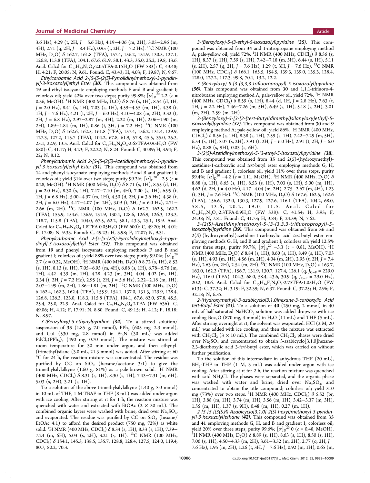3.6 Hz), 4.29 (t, 2H, J = 5.6 Hz), 4.19−4.06 (m, 2H), 3.05−2.96 (m, 4H), 2.71 (q, 2H, J = 8.4 Hz), 0.95 (t, 2H, J = 7.2 Hz). <sup>13</sup>C NMR (100 MHz, D<sub>2</sub>O) δ 162.7, 161.8 (TFA), 157.4, 156.2, 131.9, 130.5, 127.1, 126.8, 115.8 (TFA), 104.1, 67.6, 61.9, 58.1, 43.3, 35.0, 25.2, 19.8, 13.6. Anal. Calcd for  $C_{17}H_{22}N_4O_4$ :2.05TFA:0.15H<sub>2</sub>O (FW 583): C, 43.48; H, 4.21; F, 20.05; N, 9.61. Found: C, 43.43; H, 4.03; F, 19.87; N, 9.67.

Ethylcarbamic Acid 2-[5-[5-(2(S)-Pyrrolidinylmethoxy)-3-pyridinyl]-3-isoxazolyl]ethyl Ester (30). This compound was obtained from 19 and ethyl isocyanate employing methods F and B and gradient I; colorless oil; yield 42% over two steps; purity 99.8%;  $[\alpha]_{\text{D}}^{20}$  2.2 ( $\epsilon$  = 0.36, MeOH). <sup>1</sup>H NMR (400 MHz, D<sub>2</sub>O)  $\delta$  8.76 (s, 1H), 8.54 (d, 1H,  $J = 2.0$  Hz), 8.41 (s, 1H), 7.03 (s, 1H), 4.59–4.55 (m, 1H), 4.38 (t, 1H, J = 7.6 Hz), 4.21 (t, 2H, J = 6.0 Hz), 4.10−4.08 (m, 2H), 3.32 (t, 2H, J = 6.8 Hz), 2.97−2.87 (m, 4H), 2.22 (m, 1H), 2.06−1.90 (m, 2H), 1.89−1.84 (m, 1H), 0.86 (t, 3H, J = 7.2 Hz). <sup>13</sup>C NMR (100 MHz, D<sub>2</sub>O) δ 162.6, 162.5, 161.8 (TFA), 157.4, 156.2, 131.4, 129.9, 127.3, 127.2, 115.7 (TFA), 104.2, 67.8, 61.9, 57.8, 45.5, 35.0, 25.3, 25.1, 22.9, 13.5. Anal. Calcd for C<sub>18</sub>H<sub>24</sub>N<sub>4</sub>O<sub>4</sub>.2.65TFA-0.95H<sub>2</sub>O (FW 680): C, 41.17; H, 4.23; F, 22.22; N, 8.24. Found: C, 40.89; H, 3.94; F, 22; N, 8.12.

Phenylcarbamic Acid 2-[5-[5-(2(S)-Azetidinylmethoxy)-3-pyridinyl]-3-isoxazolyl]ethyl Ester (31). This compound was obtained from 14 and phenyl isocyanate employing methods F and B and gradient I; colorless oil; yield 31% over two steps; purity 99.2%;  $\lbrack \alpha \rbrack_{\text{D}}^{20}$  –2.5 ( $\mathfrak{c}$  = 0.28, MeOH). <sup>1</sup>H NMR (400 MHz, D<sub>2</sub>O)  $\delta$  8.71 (s, 1H), 8.55 (d, 1H,  $J = 2.0$  Hz), 8.30 (s, 1H), 7.17–7.10 (m, 4H), 7.00 (s, 1H), 6.95 (t, 1H, J = 6.8 Hz), 5.00−4.97 (m, 1H), 4.50 (d, 2H, J = 3.6 Hz), 4.38 (t, 2H, J = 6.0 Hz), 4.17−4.07 (m, 2H), 3.09 (t, 2H, J = 6.0 Hz), 2.71− 2.66 (m, 2H). <sup>13</sup>C NMR (100 MHz, D<sub>2</sub>O)  $\delta$  162.7, 162.5, 162.2 (TFA), 155.9, 154.6, 136.9, 131.9, 130.4, 128.6, 126.9, 126.3, 123.3, 118.7, 115.8 (TFA), 104.0, 67.5, 62.2, 58.1, 43.3, 25.1, 19.9. Anal. Calcd for  $C_{21}H_{22}N_4O_4 \cdot 1.8$ TFA $\cdot 0.05H_2O$  (FW 600): C, 49.20; H, 4.01; F, 17.08; N, 9.33. Found: C, 49.23; H, 3.98; F, 17.07; N, 9.31.

Phenylcarbamic Acid 2-[5-[5-(2(S)-Pyrrolidinylmethoxy)-3-pyridinyl]-3-isoxazolyl]ethyl Ester (32). This compound was obtained from 19 and phenyl isocyanate employing methods F and B and gradient I; colorless oil; yield 88% over two steps; purity 99.0%;  $\left[ \alpha \right] _0$   $^{\rm 20}$ 2.7 ( $c = 0.22$ , MeOH). <sup>1</sup>H NMR (400 MHz, D<sub>2</sub>O)  $\delta$  8.72 (s, 1H), 8.52 (s, 1H), 8.13 (s, 1H), 7.05−6.95 (m, 4H), 6.88 (s, 1H), 6.78−6.76 (m, 1H), 4.42−4.39 (m, 1H), 4.28−4.23 (m, 3H), 4.04−4.02 (m, 1H), 3.34 (t, 2H, J = 7.2 Hz), 2.95 (t, 2H, J = 5.6 Hz), 2.22–2.18 (m, 1H), 2.07−1.99 (m, 2H), 1.86−1.81 (m, 2H). <sup>13</sup>C NMR (100 MHz, D<sub>2</sub>O) δ 162.4, 162.3, 162.4 (TFA), 155.9, 154.1, 137.0, 131.3, 129.9, 128.4, 126.8, 126.3, 123.0, 118.3, 115.8 (TFA), 104.1, 67.6, 62.0, 57.8, 45.5, 25.4, 25.0, 22.9. Anal. Calcd for  $C_{22}H_{24}N_{4}O_{4}$ -2TFA (FW 636): C, 49.06; H, 4.12; F, 17.91; N, 8.80. Found: C, 49.15; H, 4.12; F, 18.18; N, 8.97.

3-(Benzyloxy)-5-ethynylpyridine (34). To a stirred solution/ suspension of 33 (1.85 g, 7.0 mmol),  $PPh_3$  (605 mg, 2.3 mmol), and CuI (530 mg, 2.8 mmol) in  $Et_3N$  (30 mL) was added  $PdCl<sub>2</sub>(PPh<sub>3</sub>)<sub>2</sub>$  (490 mg, 0.70 mmol). The mixture was stirred at room temperature for 30 min under argon, and then ethynyl- (trimethyl)silane (3.0 mL, 21.3 mmol) was added. After stirring at 60 °C for 24 h, the reaction mixture was concentrated. The residue was purified by CC on  $SiO<sub>2</sub>$  (hexane/acetone 3:1) to give the trimethylsilylalkyne (1.60 g, 81%) as a pale-brown solid. <sup>1</sup>H NMR (400 MHz, CDCl<sub>3</sub>)  $\delta$  8.31 (s, 1H), 8.30 (s, 1H), 7.43–7.31 (m, 6H), 5.03 (s, 2H), 3.21 (s, 1H).

To a solution of the above trimethylsilylalkyne (1.40 g, 5.0 mmol) in 10 mL of THF, 1 M TBAF in THF (8 mL) was added under argon with ice cooling. After stirring at rt for 1 h, the reaction mixture was quenched with water and extracted with EtOAc  $(2 \times 30 \text{ mL})$ . The combined organic layers were washed with brine, dried over  $Na<sub>2</sub>SO<sub>4</sub>$ , and evaporated. The residue was purified by CC on  $SiO_2$  (hexane/ EtOAc 4:1) to afford the desired product (750 mg, 72%) as white solid. <sup>1</sup>H NMR (400 MHz, CDCl<sub>3</sub>) δ 8.34 (s, 1H), 8.33 (s, 1H), 7.39− 7.24 (m, 6H), 5.03 (s, 2H), 3.21 (s, 1H). 13C NMR (100 MHz, CDCl3) δ 154.1, 145.3, 138.5, 135.7, 128.8, 128.4, 127.5, 124.0, 119.4, 80.7, 80.2, 70.3.

3-(Benzyloxy)-5-(3-ethyl-5-isoxazolyl)pyridine (35). This compound was obtained from 34 and 1-nitropropane employing method A; pale-yellow oil; yield 72%. <sup>1</sup>H NMR (400 MHz, CDCl<sub>3</sub>)  $\delta$  8.56 (s, 1H), 8.37 (s, 1H), 7.59 (s, 1H), 7.42−7.18 (m, 5H), 6.44 (s, 1H), 5.11  $(s, 2H)$ , 2.57 (q, 2H, J = 7.6 Hz), 1.29 (t, 3H, J = 7.6 Hz). <sup>13</sup>C NMR  $(100 \text{ MHz}, \text{CDCl}_3)$  δ 166.1, 165.5, 154.5, 139.3, 139.0, 135.3, 128.4, 128.0, 127.2, 117.3, 99.8, 70.1, 19.2, 12.2.

3-(Benzyloxy)-5-[3-(3,3,3-trifluoropropyl)-5-isoxazolyl]pyridine (36). This compound was obtained from 30 and 1,1,1-trifluoro-4 nitrobutane employing method A; pale-yellow oil; yield 72%. <sup>1</sup>H NMR  $(400 \text{ MHz}, \text{CDCl}_3) \delta 8.59 \text{ (s, 1H)}, 8.44 \text{ (d, 1H)}, J = 2.8 \text{ Hz}), 7.63 \text{ (t, 1H)}$ 1H, J = 2.2 Hz), 7.46−7.26 (m, 5H), 6.49 (s, 1H), 5.18 (s, 2H), 3.01 (m, 2H), 2.59 (m, 2H).

3-(Benzyloxy)-5-[3-[2-[tert-Butyl(dimethyl)silanyloxy]ethyl]-5 isoxazolyllpyridine (37). This compound was obtained from 30 and 9 employing method A; pale-yellow oil; yield 86%. <sup>1</sup>H NMR (400 MHz, CDCl3) δ 8.56 (s, 1H), 8.38 (s, 1H), 7.59 (s, 1H), 7.42−7.29 (m, 5H), 6.54 (s, 1H), 5.07 (s, 2H), 3.91 (t, 2H,  $J = 6.0$  Hz), 2.91 (t, 2H,  $J = 6.0$ Hz), 0.88 (s, 9H), 0.03 (s, 6H).

3-(2(S)-Azetidinylmethoxy)-5-(3-ethyl-5-isoxazolyl)pyridine (38). This compound was obtained from 35 and  $2(S)$ -(hydroxymethyl)azetidine-1-carboxylic acid tert-butyl ester employing methods G, H, and B and gradient I; colorless oil; yield 11% over three steps; purity 99.4%;  $\lceil \alpha \rceil_{\text{D}}^{\text{2}}$ <sup>20</sup> −4.2 (c = 1.11, MeOH). <sup>1</sup>H NMR (400 MHz, D<sub>2</sub>O)  $\delta$ 8.88 (s, 1H), 8.65 (s, 1H), 8.53 (s, 1H), 7.03 (s, 1H), 5.00 (m, 1H), 4.62 (d, 2H, J = 4.0 Hz), 4.17−4.04 (m, 2H), 2.75−2.67 (m, 4H), 1.23 (t, 3H, J = 7.6 Hz). <sup>13</sup>C NMR (100 MHz, D<sub>2</sub>O)  $\delta$  167.6, 162.5, 162.6 (TFA), 156.6, 132.0, 130.3, 127.9, 127.6, 116.1 (TFA), 104.2, 68.0, 58.5, 43.6, 20.2, 19.0, 11.5. Anal. Calcd for  $C_{14}H_{17}N_3O_2.3TFA.0.9H_2O$  (FW 538): C, 41.54; H, 3.95; F, 24.38; N, 7.81. Found: C, 41.73; H, 3.84; F, 24.39; N, 7.62.

3-(2(S)-Azetidinylmethoxy)-5-[3-(3,3,3-trifluoropropyl)-5 isoxazolyl]pyridine (39). This compound was obtained from 36 and  $2(S)$ -(hydroxymethyl)azetidine-1-carboxylic acid tert-butyl ester employing methods G, H, and B and gradient I; colorless oil; yield 12.5% over three steps; purity 99.7%;  $[\alpha]_D^{20} -3.3$  ( $c = 0.81$ , MeOH). <sup>1</sup>H NMR (400 MHz,  $D_2O$ )  $\delta$  8.84 (s, 1H), 8.60 (s, 1H), 8.49 (s, 1H), 7.03  $(s, 1H)$ , 4.93 (m, 1H), 4.56 (m, 2H), 4.04 (m, 2H), 2.95 (t, 2H, J = 7.4 Hz), 2.63 (m, 2H), 2.54 (m, 2H). <sup>13</sup>C NMR (100 MHz, D<sub>2</sub>O) δ 163.7, 163.0, 162.2 (TFA), 156.7, 131.9, 130.7, 127.4, 126.1 (q, J<sub>C−F</sub> = 229.0 Hz), 116.0 (TFA), 104.3, 68.0, 58.4, 43.6, 30.9 (q,  $J_{C-F}$  = 29.0 Hz), 20.2, 18.6. Anal. Calcd for  $C_{15}H_{16}F_3N_3O_2$  2.75TFA 1.05H<sub>2</sub>O (FW 613): C, 37.32; H, 3.19; F, 32.39; N, 6.37. Found: C, 37.25; H, 2.96; F, 32.18; N, 6.35.

2-(Hydroxymethyl)-3-azabicyclo[3.1.0]hexane-3-carboxylic Acid tert-Butyl Ester (41). To a solution of 40 (250 mg, 2 mmol) in 40 mL of half-saturated  $NAHCO<sub>3</sub>$  solution was added dropwise with ice cooling  $Boc_2O$  (870 mg, 4 mmol) in  $H_2O$  (11 mL) and THF (5 mL). After stirring overnight at rt, the solvent was evaporated. HCl (2 M, 20 mL) was added with ice cooling, and then the mixture was extracted with  $\mathrm{CH_2Cl_2}$  (3  $\times$  10 mL). The combined  $\mathrm{CH_2Cl_2}$  phases were dried over  $Na<sub>2</sub>SO<sub>4</sub>$  and concentrated to obtain 3-azabicyclo[3.1.0]hexane-2,3-dicarboxylic acid 3-tert-butyl ester, which was carried on without further purification.

To the solution of this intermediate in anhydrous THF (20 mL),  $BH<sub>3</sub>·THF$  in THF (1 M, 3 mL) was added under argon with ice cooling. After stirring at rt for 2 h, the reaction mixture was quenched with satd NH<sub>4</sub>Cl. The phases were separated, and the organic phase was washed with water and brine, dried over  $Na<sub>2</sub>SO<sub>4</sub>$ , and concentrated to obtain the title compound; colorless oil; yield 310 mg (73%) over two steps. <sup>1</sup>H NMR (400 MHz, CDCl<sub>3</sub>)  $\delta$  5.52 (br, 1H), 3.88 (m, 1H), 3.74 (m, 1H), 3.56 (m, 1H), 3.42−3.37 (m, 3H), 1.55 (m, 1H), 1.37 (s, 9H), 0.48 (m, 1H), 0.27 (m, 1H).

2-[5-[5-[(3(S,R)-Azabicyclo[3.1.0]-2(S)-hexyl)methoxy]-3-pyridinyl]-3-isoxazolyl]ethane (42). This compound was obtained from 35 and 41 employing methods G, H, and B and gradient I; colorless oil; yield 20% over three steps; purity 99.6%;  $\left[\alpha\right]_{D}^{\infty}$ 0 ( $c = 0.48$ , MeOH).<br><sup>1</sup>H NMR (400 MHz, D O) δ 8 89 (ε 1H) 8 63 (ε 1H) 8 50 (ε 1H). <sup>1</sup>H NMR (400 MHz, D<sub>2</sub>O)  $\delta$  8.89 (s, 1H), 8.63 (s, 1H), 8.50 (s, 1H), 7.06 (s, 1H), 4.50−4.33 (m, 2H), 3.61−3.52 (m, 2H), 2.77 (q, 2H, J = 7.6 Hz), 1.95 (m, 2H), 1.26 (t, 3H, J = 7.6 Hz), 0.92 (m, 1H), 0.65 (m,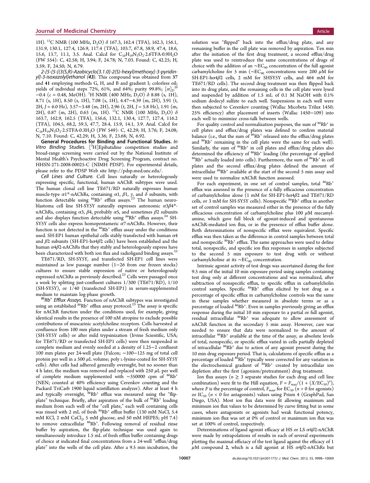1H). <sup>13</sup>C NMR (100 MHz, D<sub>2</sub>O) δ 167.3, 162.4 (TFA), 162.3, 156.1, 131.9, 130.1, 127.4, 126.9, 117.4 (TFA), 103.7, 67.8, 58.9, 47.4, 18.6, 15.6, 13.7, 11.1, 3.5. Anal. Calcd for  $C_{16}H_{19}N_3O_2$ :2.6TFA:0.9H<sub>2</sub>O (FW 554): C, 42.58; H, 3.94; F, 24.78; N, 7.03. Found: C, 42.25; H, 3.59; F, 24.50; N, 6.79.

2-[5-[5-[(3(S,R)-Azabicyclo[3.1.0]-2(S)-hexyl)methoxy]-3-pyridinyl]-3-isoxazolyl]ethanol (43). This compound was obtained from 37 and 41 employing methods G, H, and B and gradient I; colorless oil; yields of individual steps 72%, 61%, and 64%; purity 99.8%;  $\left[ \alpha \right] _0^{ \text{ } 20}$  $-0.4$  (c = 0.48, MeOH). <sup>1</sup>H NMR (400 MHz, D<sub>2</sub>O)  $\delta$  8.88 (s, 1H), 8.71 (s, 1H), 8.50 (s, 1H), 7.08 (s, 1H), 4.47−4.39 (m, 2H), 3.91 (t, 2H, J = 6.0 Hz), 3.57−3.48 (m, 2H), 2.96 (t, 2H, J = 5.8 Hz), 1.91 (m, 2H), 0.87 (m, 2H), 0.63 (m, 1H). <sup>13</sup>C NMR (100 MHz, D<sub>2</sub>O)  $\delta$ 163.7, 162.9, 162.5 (TFA), 156.6, 132.1, 130.4, 127.7, 127.4, 116.2 (TFA), 104.5, 68.2, 59.3, 47.7, 28.4, 15.9, 14.1, 3.9. Anal. Calcd for  $C_{16}H_{19}N_3O_3.2.5TFA.0.3H_2O$  (FW 549): C, 42.29; H, 3.76; F, 24.08; N, 7.10. Found: C, 42.29; H, 3.36; F, 23.68; N, 6.92.

General Procedures for Binding and Functional Studies. In Vitro Binding Studies. [<sup>3</sup>H] Epibatidine competition studies and broad-range screening were carried out by the National Institute of Mental Health's Psychoactive Drug Screening Program, contract no. HHSN-271-2008-00025-C (NIMH PDSP). For experimental details, please refer to the PDSP Web site<http://pdsp.med.unc.edu/>.

Cell Lines and Culture. Cell lines naturally or heterologously expressing specific, functional, human nAChR subtypes were used. The human clonal cell line TE671/RD naturally expresses human muscle-type  $\alpha$ 1\*-nAChRs, containing  $\alpha$ 1,  $\beta$ 1,  $\gamma$ , and  $\delta$  subunits, with function detectable using  $86Rb^+$  efflux assays. <sup>[23](#page-13-0)</sup> The human neuroblastoma cell line SH-SY5Y naturally expresses autonomic  $\alpha 3\beta 4^*$ nAChRs, containing  $\alpha$ 3,  $\beta$ 4, probably  $\alpha$ 5, and sometimes  $\beta$ 2 subunits and also displays function detectable using  $^{86}\mathrm{Rb}^+$  efflux assays.  $^{24}$  $^{24}$  $^{24}$  SH-SY5Y cells also express homopentameric  $\alpha$ 7-nAChRs. However, their function is not detected in the  $86Rb^+$  efflux assay under the conditions used. SH-EP1 human epithelial cells stably transfected with human  $\alpha$ 4 and  $\beta$ 2 subunits (SH-EP1-h $\alpha$ 4 $\beta$ 2 cells) have been established and the human  $\alpha$ 4 $\beta$ 2-nAChRs that they stably and heterologously express have been characterized with both ion flux and radioligand binding assays.<sup>[25](#page-13-0)</sup>

TE671/RD, SH-SY5Y, and transfected SH-EP1 cell lines were maintained as low passage number (1−26 from our frozen stocks) cultures to ensure stable expression of native or heterologously<br>expressed nAChRs as previously described.<sup>[23](#page-13-0)</sup> Cells were passaged once a week by splitting just-confluent cultures 1/300 (TE671/RD), 1/10 (SH-SY5Y), or 1/40 (transfected SH-EP1) in serum-supplemented

medium to maintain log-phase growth.<br><sup>86</sup>Rb<sup>+</sup> Efflux Assays. Function of nAChR subtypes was investigated using an established  ${}^{86}\text{Rb}^+$  efflux assay protocol. ${}^{23}$  ${}^{23}$  ${}^{23}$  The assay is specific for nAChR function under the conditions used, for example, giving identical results in the presence of 100 nM atropine to exclude possible contributions of muscarinic acetylcholine receptors. Cells harvested at confluence from 100 mm plates under a stream of fresh medium only (SH-SY5Y cells) or after mild trypsinization (Irvine Scientific, USA; for TE671/RD or transfected SH-EP1 cells) were then suspended in complete medium and evenly seeded at a density of 1.25−2 confluent 100 mm plates per 24-well plate (Falcon; ∼100−125 mg of total cell protein per well in a 500  $\mu$ L volume; poly L-lysine-coated for SH-SY5Y cells). After cells had adhered generally overnight, but no sooner than 4 h later, the medium was removed and replaced with 250  $\mu$ L per well of complete medium supplemented with ∼350000 cpm of 86Rb+ (NEN; counted at 40% efficiency using Cerenkov counting and the Packard TriCarb 1900 liquid scintillation analyzer). After at least 4 h and typically overnight,  ${}^{86}$ Rb<sup>+</sup> efflux was measured using the "flipplate" technique. Briefly, after aspiration of the bulk of <sup>86</sup>Rb<sup>+</sup> loading medium from each well of the "cell plate," each well containing cells<br>was rinsed with 2 mL of fresh <sup>86</sup>Rb<sup>+</sup> efflux buffer (130 mM NaCl, 5.4 mM KCl, 2 mM CaCl<sub>2</sub>, 5 mM glucose, and 50 mM HEPES; pH 7.4) to remove extracellular  $^{86}\text{Rb}^+$ . Following removal of residual rinse buffer by aspiration, the flip-plate technique was used again to simultaneously introduce 1.5 mL of fresh efflux buffer containing drugs of choice at indicated final concentrations from a 24-well "efflux/drug plate" into the wells of the cell plate. After a 9.5 min incubation, the

solution was "flipped" back into the efflux/drug plate, and any remaining buffer in the cell plate was removed by aspiration. Ten min after the initiation of the first drug treatment, a second efflux/drug plate was used to reintroduce the same concentrations of drugs of choice with the addition of an  $~\sim$ EC<sub>90</sub> concentration of the full agonist carbamylcholine for 5 min ( $\sim$ EC<sub>90</sub> concentrations were 200 µM for SH-EP1-hα4β2 cells, 2 mM for SHSY5Y cells, and 464 mM for TE671/RD cells). The second drug treatment was then flipped back into its drug plate, and the remaining cells in the cell plate were lysed and suspended by addition of 1.5 mL of 0.1 M NaOH with 0.1% sodium dodecyl sulfate to each well. Suspensions in each well were then subjected to Cerenkov counting (Wallac Micobeta Trilux 1450; 25% efficiency) after placement of inserts (Wallac 1450−109) into each well to minimize cross-talk between wells.

For quality control and normalization purposes, the sum of  $86\mathrm{Rb}^+$  in cell plates and efflux/drug plates was defined to confirm material balance (i.e., that the sum of  $86Rb^+$  released into the efflux/drug plates and <sup>86</sup>Rb<sup>+</sup> remaining in the cell plate were the same for each well). Similarly, the sum of  $86Rb$ <sup>+</sup> in cell plates and efflux/drug plates also determined the efficiency of <sup>86</sup>Rb<sup>+</sup> loading (the percentage of applied  $86Rb$ <sup>+</sup> actually loaded into cells). Furthermore, the sum of  $86Rb$ <sup>+</sup> in cell plates and the second efflux/drug plates defined the amount of intracellular  $86Rb$ <sup>+</sup> available at the start of the second 5 min assay and were used to normalize nAChR function assessed.

For each experiment, in one set of control samples, total  $86Rb^+$ efflux was assessed in the presence of a fully efficacious concentration of carbamylcholine alone (1 mM for SH-EP1-h $\alpha$ 4 $\beta$ 2 and TE671/RD cells, or 3 mM for SH-SY5Y cells). Nonspecific  ${}^{86}\text{Rb}^+$  efflux in another set of control samples was measured either in the presence of the fully efficacious concentration of carbamylcholine plus 100 μM mecamylamine, which gave full block of agonist-induced and spontaneous nAChR-mediated ion flux, or in the presence of efflux buffer alone. Both determinations of nonspecific efflux were equivalent. Specific efflux was then taken as the difference in control samples between total and nonspecific  $86Rb^+$  efflux. The same approaches were used to define total, nonspecific, and specific ion flux responses in samples subjected to the second 5 min exposure to test drug with or without carbamylcholine at its ∼EC<sub>90</sub> concentration.

Intrinsic agonist activity of test drugs was ascertained during the first 9.5 min of the initial 10 min exposure period using samples containing test drug only at different concentrations and was normalized, after subtraction of nonspecific efflux, to specific efflux in carbamylcholin control samples. Specific  $86Rb$ <sup>+</sup> efflux elicited by test drug as a percentage of specific efflux in carbamylcholine controls was the same in these samples whether measured in absolute terms or as a percentage of loaded  $^{86}\text{Rb}^+$ . Even in samples previously giving an efflux response during the initial 10 min exposure to a partial or full agonist, residual intracellular  $86Rb$ <sup>+</sup> was adequate to allow assessment of nAChR function in the secondary 5 min assay. However, care was needed to ensure that data were normalized to the amount of intracellular  ${}^{86}$ Rb<sup>+</sup> available at the time of the assay, as absolute levels of total, nonspecific, or specific efflux varied in cells partially depleted of intracellular 86Rb+ due to action of any agonist present during the 10 min drug exposure period. That is, calculations of specific efflux as a percentage of loaded  $86Rb+$  typically were corrected for any variation in the electrochemical gradient of  $86Rb$ <sup>+</sup> created by intracellular ion depletion after the first (agonism/pretreatment) drug treatment.

Ion flux assays ( $n \geq 3$  separate studies for each drug and cell line combination) were fit to the Hill equation,  $F = F_{\text{max}}/(1 + (X/EC_{50})^n)$ where *F* is the percentage of control,  $F_{\text{max}}$  for EC<sub>50</sub> (*n* > 0 for agonists) or IC<sub>50</sub> ( $n < 0$  for antagonists) values using Prism 4 (GraphPad, San Diego, USA). Most ion flux data were fit allowing maximum and minimum ion flux values to be determined by curve fitting but in some cases, where antagonists or agonists had weak functional potency, minimum ion flux was set at 0% of control or maximum ion flux was set at 100% of control, respectively.

Determinations of ligand agonist efficacy at HS or LS  $\alpha$ 4 $\beta$ 2-nAChR were made by extrapolations of results in each of several experiments plotting the maximal efficiacy of the test ligand against the efficacy of 1  $\mu$ M compound 2, which is a full agonist at HS  $\alpha$ 4 $\beta$ 2-nAChRs but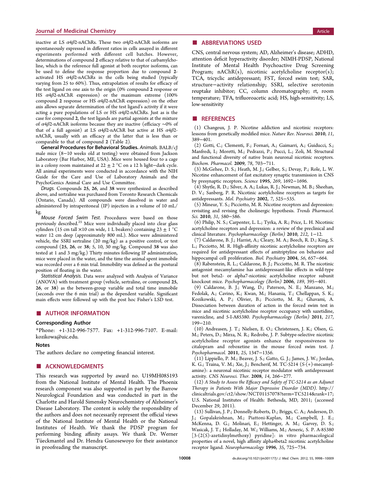#### <span id="page-12-0"></span>**Journal of Medicinal Chemistry Article** Article 30 and 2008 and 2008 and 2008 and 2008 and 2008 and 2008 and 200

inactive at LS  $\alpha$ 4 $\beta$ 2-nAChRs. These two  $\alpha$ 4 $\beta$ 2-nAChR isoforms are spontaneously expressed in different ratios in cells assayed in different experiments performed with different cell batches. However, determinations of compound 2 efficacy relative to that of carbamylcholine, which is the reference full agonist at both receptor isoforms, can be used to define the response proportion due to compound 2 activated HS  $\alpha$ 4 $\beta$ 2-nAChRs in the cells being studied (typically varying from 25 to 60%). Thus, extrapolation of results for efficacy of the test ligand on one axis to the origin (0% compound 2 response or HS  $\alpha$ 4 $\beta$ 2-nAChR expression) or the maximum extreme (100%) compound 2 response or HS  $\alpha$ 4 $\beta$ 2-nAChR expression) on the other axis allows separate determination of the test ligand's activity if it were acting a pure populations of LS or HS  $\alpha$ 4 $\beta$ 2-nAChRs. Just as is the case for compound 2, the test ligands are partial agonists at the mixture of  $\alpha$ 4 $\beta$ 2-nAChR isoforms because they are inactive (efficiacy ~0% of that of a full agonist) at LS  $\alpha$ 4 $\beta$ 2-nAChR but active at HS  $\alpha$ 4 $\beta$ 2nAChR, usually with an efficacy at the latter that is less than or comparable to that of compound 2 (Table [2](#page-5-0)).

General Procedures for Behavioral Studies. Animals. BALB/cJ male mice (8−10 weeks old at testing) were obtained from Jackson Laboratory (Bar Harbor, ME, USA). Mice were housed four to a cage in a colony room maintained at  $22 \pm 2$  °C on a 12 h light−dark cycle. All animal experiments were conducted in accordance with the NIH Guide for the Care and Use of Laboratory Animals and the PsychoGenics Animal Care and Use Committee.

Drugs. Compounds 25, 26, and 38 were synthesized as described above, and sertraline was purchased from Toronto Research Chemicals (Ontario, Canada). All compounds were dissolved in water and administered by intraperitoneal (IP) injection in a volume of 10 mL/ kg.

Mouse Forced Swim Test. Procedures were based on those previously described.<sup>[25](#page-13-0)</sup> Mice were individually placed into clear glass cylinders (15 cm tall  $\times$ 10 cm wide, 1 L beakers) containing 23  $\pm$  1 °C water 12 cm deep (approximately 800 mL). Mice were administered vehicle, the SSRI sertraline (20 mg/kg) as a positive control, or test compound (25, 26, or 38; 5, 10, 30 mg/kg. Compound 38 was also tested at 1 and 3 mg/kg.) Thirty minutes following IP administration, mice were placed in the water, and the time the animal spent immobile was recorded over a 6 min trial. Immobility was defined as the postural position of floating in the water.

Statistical Analysis. Data were analyzed with Analysis of Variance (ANOVA) with treatment group (vehicle, sertraline, or compound 25, 26, or 38) as the between-group variable and total time immobile (seconds over the 6 min trial) as the dependent variable. Significant main effects were followed up with the post hoc Fisher's LSD test.

#### ■ AUTHOR INFORMATION

#### Corresponding Author

\*Phone: +1-312-996-7577. Fax: +1-312-996-7107. E-mail: [kozikowa@uic.edu.](mailto:kozikowa@uic.edu)

#### Notes

The authors declare no competing financial interest.

#### ■ ACKNOWLEDGMENTS

This research was supported by award no. U19MH085193 from the National Institute of Mental Health. The Phoenix research component was also supported in part by the Barrow Neurological Foundation and was conducted in part in the Charlotte and Harold Simensky Neurochemistry of Alzheimer's Disease Laboratory. The content is solely the responsibility of the authors and does not necessarily represent the official views of the National Institute of Mental Health or the National Institutes of Health. We thank the PDSP program for performing binding affinity assays. We thank Dr. Werner Tü eckmantel and Dr. Hendra Gunosewoyo for their assistance in proofreading the manuscript.

#### ■ ABBREVIATIONS USED

CNS, central nervous system; AD, Alzheimer's disease; ADHD, attention deficit hyperactivity disorder; NIMH-PDSP, National Institute of Mental Health Psychoactive Drug Screening Program; nAChR(s), nicotinic acetylcholine receptor(s); TCA, tricyclic antidepressant; FST, forced swim test; SAR, structure−activity relationship; SSRI, selective serotonin reuptake inhibitor; CC, column chromatography; rt, room temperature; TFA, trifluoroacetic acid; HS, high-sensitivity; LS, low-sensitivity

#### ■ REFERENCES

(1) Changeux, J. P. Nicotine addiction and nicotinic receptors: lessons from genetically modified mice. Nature Rev. Neurosci. 2010, 11, 389−401.

(2) Gotti, C.; Clementi, F.; Fornari, A.; Gaimarri, A.; Guiducci, S.; Manfredi, I.; Moretti, M.; Pedrazzi, P.; Pucci, L.; Zoli, M. Structural and functional diversity of native brain neuronal nicotinic receptors. Biochem. Pharmacol. 2009, 78, 703−711.

(3) McGehee, D. S.; Heath, M. J.; Gelber, S.; Devay, P.; Role, L. W. Nicotine enhancement of fast excitatory synaptic transmission in CNS by presynaptic receptors. Science 1995, 269, 1692−1696.

(4) Shytle, R. D.; Silver, A. A.; Lukas, R. J.; Newman, M. B.; Sheehan, D. V.; Sanberg, P. R. Nicotinic acetylcholine receptors as targets for antidepressants. Mol. Psychiatry 2002, 7, 525−535.

(5) Mineur, Y. S.; Picciotto, M. R. Nicotine receptors and depression: revisiting and revising the cholinergic hypothesis. Trends Pharmacol. Sci. 2010, 31, 580−586.

(6) Philip, N. S.; Carpenter, L. L.; Tyrka, A. R.; Price, L. H. Nicotinic acetylcholine receptors and depression: a review of the preclinical and clinical literature. Psychopharmacology (Berlin) 2010, 212, 1−12.

(7) Caldarone, B. J.; Harrist, A.; Cleary, M. A.; Beech, R. D.; King, S. L.; Picciotto, M. R. High-affinity nicotinic acetylcholine receptors are required for antidepressant effects of amitriptyline on behavior and hippocampal cell proliferation. Biol. Psychiatry 2004, 56, 657−664.

(8) Rabenstein, R. L.; Caldarone, B. J.; Picciotto, M. R. The nicotinic antagonist mecamylamine has antidepressant-like effects in wild-type but not beta2- or alpha7-nicotinic acetylcholine receptor subunit knockout mice. Psychopharmacology (Berlin) 2006, 189, 395−401.

(9) Caldarone, B. J.; Wang, D.; Paterson, N. E.; Manzano, M.; Fedolak, A.; Cavino, K.; Kwan, M.; Hanania, T.; Chellappan, S. K.; Kozikowski, A. P.; Olivier, B.; Picciotto, M. R.; Ghavami, A. Dissociation between duration of action in the forced swim test in mice and nicotinic acetylcholine receptor occupancy with sazetidine, varenicline, and 5-I-A85380. Psychopharmacology (Berlin) 2011, 217, 199−210.

(10) Andreasen, J. T.; Nielsen, E. O.; Christensen, J. K.; Olsen, G. M.; Peters, D.; Mirza, N. R.; Redrobe, J. P. Subtype-selective nicotinic acetylcholine receptor agonists enhance the responsiveness to citalopram and reboxetine in the mouse forced swim test. J. Psychopharmacol. 2011, 25, 1347−1356.

(11) Lippiello, P. M.; Beaver, J. S.; Gatto, G. J.; James, J. W.; Jordan, K. G.; Traina, V. M.; Xie, J.; Bencherif, M. TC-5214 (S-(+)-mecamylamine): a neuronal nicotinic receptor modulator with antidepressant activity. CNS Neurosci. Ther. 2008, 14, 266−277.

(12) A Study to Assess the Efficacy and Safety of TC-5214 as an Adjunct Therapy in Patients With Major Depressive Disorder (MDD). [http://](http://clinicaltrials.gov/ct2/show/NCT01157078?term=TC5214&rank=17) [clinicaltrials.gov/ct2/show/NCT01157078?term=TC5214&rank=17](http://clinicaltrials.gov/ct2/show/NCT01157078?term=TC5214&rank=17); U.S. National Institutes of Health: Bethesda, MD, 2011; (accessed December 29, 2011).

(13) Sullivan, J. P.; Donnelly-Roberts, D.; Briggs, C. A.; Anderson, D. J.; Gopalakrishnan, M.; Piattoni-Kaplan, M.; Campbell, J. E.; McKenna, D. G.; Molinari, E.; Hettinger, A. M.; Garvey, D. S.; Wasicak, J. T.; Holladay, M. W.; Williams, M.; Arneric, S. P. A-85380 [3-(2(S)-azetidinylmethoxy) pyridine]: in vitro pharmacological properties of a novel, high affinity alpha4beta2 nicotinic acetylcholine receptor ligand. Neuropharmacology 1996, 35, 725−734.